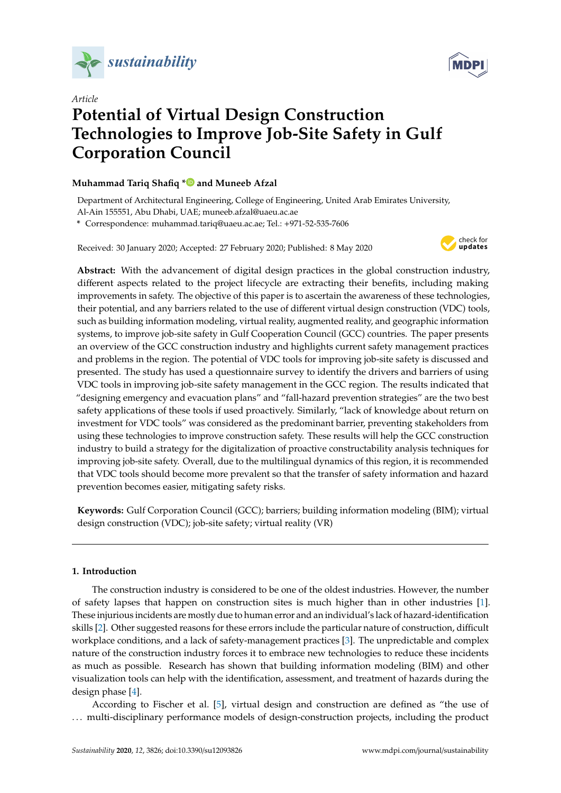



# *Article* **Potential of Virtual Design Construction Technologies to Improve Job-Site Safety in Gulf Corporation Council**

## **Muhammad Tariq Shafiq [\\*](https://orcid.org/0000-0002-1063-6761) and Muneeb Afzal**

Department of Architectural Engineering, College of Engineering, United Arab Emirates University,

Al-Ain 155551, Abu Dhabi, UAE; muneeb.afzal@uaeu.ac.ae

**\*** Correspondence: muhammad.tariq@uaeu.ac.ae; Tel.: +971-52-535-7606

Received: 30 January 2020; Accepted: 27 February 2020; Published: 8 May 2020



**Abstract:** With the advancement of digital design practices in the global construction industry, different aspects related to the project lifecycle are extracting their benefits, including making improvements in safety. The objective of this paper is to ascertain the awareness of these technologies, their potential, and any barriers related to the use of different virtual design construction (VDC) tools, such as building information modeling, virtual reality, augmented reality, and geographic information systems, to improve job-site safety in Gulf Cooperation Council (GCC) countries. The paper presents an overview of the GCC construction industry and highlights current safety management practices and problems in the region. The potential of VDC tools for improving job-site safety is discussed and presented. The study has used a questionnaire survey to identify the drivers and barriers of using VDC tools in improving job-site safety management in the GCC region. The results indicated that "designing emergency and evacuation plans" and "fall-hazard prevention strategies" are the two best safety applications of these tools if used proactively. Similarly, "lack of knowledge about return on investment for VDC tools" was considered as the predominant barrier, preventing stakeholders from using these technologies to improve construction safety. These results will help the GCC construction industry to build a strategy for the digitalization of proactive constructability analysis techniques for improving job-site safety. Overall, due to the multilingual dynamics of this region, it is recommended that VDC tools should become more prevalent so that the transfer of safety information and hazard prevention becomes easier, mitigating safety risks.

**Keywords:** Gulf Corporation Council (GCC); barriers; building information modeling (BIM); virtual design construction (VDC); job-site safety; virtual reality (VR)

## **1. Introduction**

The construction industry is considered to be one of the oldest industries. However, the number of safety lapses that happen on construction sites is much higher than in other industries [\[1\]](#page-17-0). These injurious incidents are mostly due to human error and an individual's lack of hazard-identification skills [\[2\]](#page-17-1). Other suggested reasons for these errors include the particular nature of construction, difficult workplace conditions, and a lack of safety-management practices [\[3\]](#page-17-2). The unpredictable and complex nature of the construction industry forces it to embrace new technologies to reduce these incidents as much as possible. Research has shown that building information modeling (BIM) and other visualization tools can help with the identification, assessment, and treatment of hazards during the design phase [\[4\]](#page-17-3).

According to Fischer et al. [\[5\]](#page-17-4), virtual design and construction are defined as "the use of . . . multi-disciplinary performance models of design-construction projects, including the product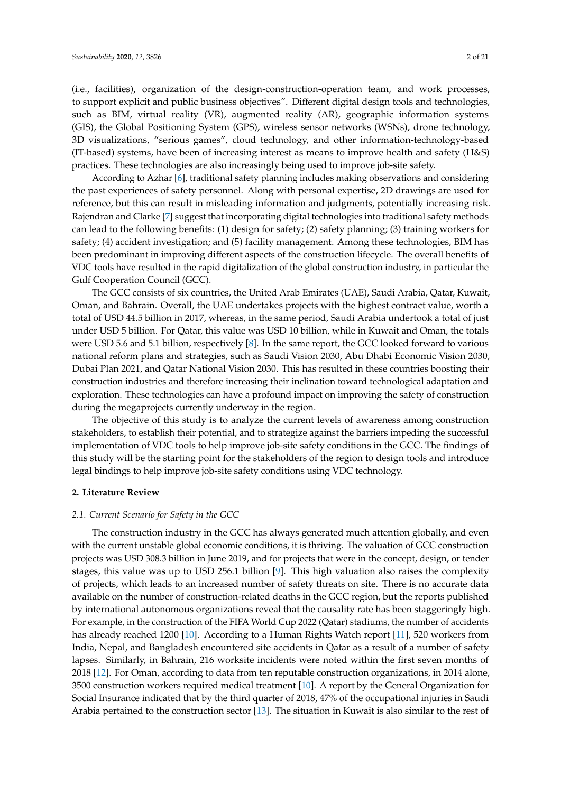(i.e., facilities), organization of the design-construction-operation team, and work processes, to support explicit and public business objectives". Different digital design tools and technologies, such as BIM, virtual reality (VR), augmented reality (AR), geographic information systems (GIS), the Global Positioning System (GPS), wireless sensor networks (WSNs), drone technology, 3D visualizations, "serious games", cloud technology, and other information-technology-based (IT-based) systems, have been of increasing interest as means to improve health and safety (H&S) practices. These technologies are also increasingly being used to improve job-site safety.

According to Azhar [\[6\]](#page-17-5), traditional safety planning includes making observations and considering the past experiences of safety personnel. Along with personal expertise, 2D drawings are used for reference, but this can result in misleading information and judgments, potentially increasing risk. Rajendran and Clarke [\[7\]](#page-17-6) suggest that incorporating digital technologies into traditional safety methods can lead to the following benefits: (1) design for safety; (2) safety planning; (3) training workers for safety; (4) accident investigation; and (5) facility management. Among these technologies, BIM has been predominant in improving different aspects of the construction lifecycle. The overall benefits of VDC tools have resulted in the rapid digitalization of the global construction industry, in particular the Gulf Cooperation Council (GCC).

The GCC consists of six countries, the United Arab Emirates (UAE), Saudi Arabia, Qatar, Kuwait, Oman, and Bahrain. Overall, the UAE undertakes projects with the highest contract value, worth a total of USD 44.5 billion in 2017, whereas, in the same period, Saudi Arabia undertook a total of just under USD 5 billion. For Qatar, this value was USD 10 billion, while in Kuwait and Oman, the totals were USD 5.6 and 5.1 billion, respectively [\[8\]](#page-17-7). In the same report, the GCC looked forward to various national reform plans and strategies, such as Saudi Vision 2030, Abu Dhabi Economic Vision 2030, Dubai Plan 2021, and Qatar National Vision 2030. This has resulted in these countries boosting their construction industries and therefore increasing their inclination toward technological adaptation and exploration. These technologies can have a profound impact on improving the safety of construction during the megaprojects currently underway in the region.

The objective of this study is to analyze the current levels of awareness among construction stakeholders, to establish their potential, and to strategize against the barriers impeding the successful implementation of VDC tools to help improve job-site safety conditions in the GCC. The findings of this study will be the starting point for the stakeholders of the region to design tools and introduce legal bindings to help improve job-site safety conditions using VDC technology.

### **2. Literature Review**

## *2.1. Current Scenario for Safety in the GCC*

The construction industry in the GCC has always generated much attention globally, and even with the current unstable global economic conditions, it is thriving. The valuation of GCC construction projects was USD 308.3 billion in June 2019, and for projects that were in the concept, design, or tender stages, this value was up to USD 256.1 billion [\[9\]](#page-17-8). This high valuation also raises the complexity of projects, which leads to an increased number of safety threats on site. There is no accurate data available on the number of construction-related deaths in the GCC region, but the reports published by international autonomous organizations reveal that the causality rate has been staggeringly high. For example, in the construction of the FIFA World Cup 2022 (Qatar) stadiums, the number of accidents has already reached 1200 [\[10\]](#page-17-9). According to a Human Rights Watch report [\[11\]](#page-17-10), 520 workers from India, Nepal, and Bangladesh encountered site accidents in Qatar as a result of a number of safety lapses. Similarly, in Bahrain, 216 worksite incidents were noted within the first seven months of 2018 [\[12\]](#page-17-11). For Oman, according to data from ten reputable construction organizations, in 2014 alone, 3500 construction workers required medical treatment [\[10\]](#page-17-9). A report by the General Organization for Social Insurance indicated that by the third quarter of 2018, 47% of the occupational injuries in Saudi Arabia pertained to the construction sector [\[13\]](#page-17-12). The situation in Kuwait is also similar to the rest of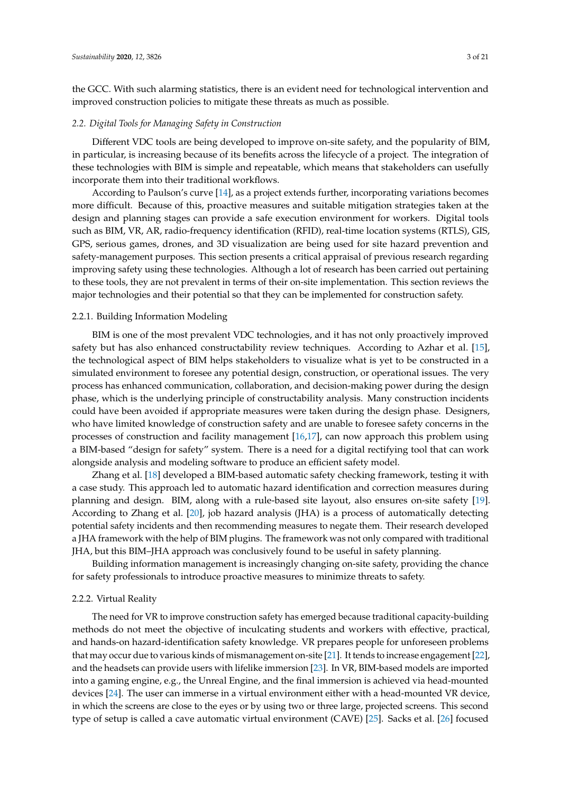the GCC. With such alarming statistics, there is an evident need for technological intervention and improved construction policies to mitigate these threats as much as possible.

## *2.2. Digital Tools for Managing Safety in Construction*

Different VDC tools are being developed to improve on-site safety, and the popularity of BIM, in particular, is increasing because of its benefits across the lifecycle of a project. The integration of these technologies with BIM is simple and repeatable, which means that stakeholders can usefully incorporate them into their traditional workflows.

According to Paulson's curve [\[14\]](#page-17-13), as a project extends further, incorporating variations becomes more difficult. Because of this, proactive measures and suitable mitigation strategies taken at the design and planning stages can provide a safe execution environment for workers. Digital tools such as BIM, VR, AR, radio-frequency identification (RFID), real-time location systems (RTLS), GIS, GPS, serious games, drones, and 3D visualization are being used for site hazard prevention and safety-management purposes. This section presents a critical appraisal of previous research regarding improving safety using these technologies. Although a lot of research has been carried out pertaining to these tools, they are not prevalent in terms of their on-site implementation. This section reviews the major technologies and their potential so that they can be implemented for construction safety.

## 2.2.1. Building Information Modeling

BIM is one of the most prevalent VDC technologies, and it has not only proactively improved safety but has also enhanced constructability review techniques. According to Azhar et al. [\[15\]](#page-17-14), the technological aspect of BIM helps stakeholders to visualize what is yet to be constructed in a simulated environment to foresee any potential design, construction, or operational issues. The very process has enhanced communication, collaboration, and decision-making power during the design phase, which is the underlying principle of constructability analysis. Many construction incidents could have been avoided if appropriate measures were taken during the design phase. Designers, who have limited knowledge of construction safety and are unable to foresee safety concerns in the processes of construction and facility management [\[16](#page-17-15)[,17\]](#page-17-16), can now approach this problem using a BIM-based "design for safety" system. There is a need for a digital rectifying tool that can work alongside analysis and modeling software to produce an efficient safety model.

Zhang et al. [\[18\]](#page-18-0) developed a BIM-based automatic safety checking framework, testing it with a case study. This approach led to automatic hazard identification and correction measures during planning and design. BIM, along with a rule-based site layout, also ensures on-site safety [\[19\]](#page-18-1). According to Zhang et al. [\[20\]](#page-18-2), job hazard analysis (JHA) is a process of automatically detecting potential safety incidents and then recommending measures to negate them. Their research developed a JHA framework with the help of BIM plugins. The framework was not only compared with traditional JHA, but this BIM–JHA approach was conclusively found to be useful in safety planning.

Building information management is increasingly changing on-site safety, providing the chance for safety professionals to introduce proactive measures to minimize threats to safety.

## 2.2.2. Virtual Reality

The need for VR to improve construction safety has emerged because traditional capacity-building methods do not meet the objective of inculcating students and workers with effective, practical, and hands-on hazard-identification safety knowledge. VR prepares people for unforeseen problems that may occur due to various kinds of mismanagement on-site [\[21\]](#page-18-3). It tends to increase engagement [\[22\]](#page-18-4), and the headsets can provide users with lifelike immersion [\[23\]](#page-18-5). In VR, BIM-based models are imported into a gaming engine, e.g., the Unreal Engine, and the final immersion is achieved via head-mounted devices [\[24\]](#page-18-6). The user can immerse in a virtual environment either with a head-mounted VR device, in which the screens are close to the eyes or by using two or three large, projected screens. This second type of setup is called a cave automatic virtual environment (CAVE) [\[25\]](#page-18-7). Sacks et al. [\[26\]](#page-18-8) focused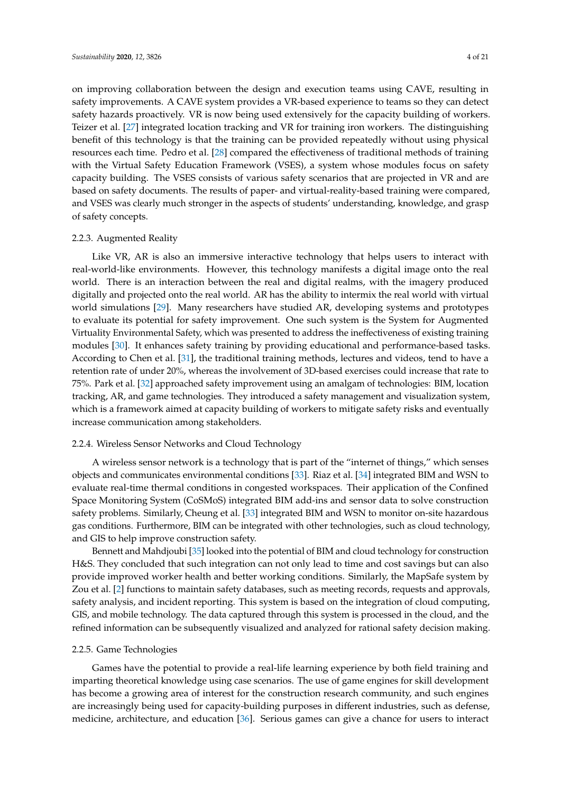on improving collaboration between the design and execution teams using CAVE, resulting in safety improvements. A CAVE system provides a VR-based experience to teams so they can detect safety hazards proactively. VR is now being used extensively for the capacity building of workers. Teizer et al. [\[27\]](#page-18-9) integrated location tracking and VR for training iron workers. The distinguishing benefit of this technology is that the training can be provided repeatedly without using physical resources each time. Pedro et al. [\[28\]](#page-18-10) compared the effectiveness of traditional methods of training with the Virtual Safety Education Framework (VSES), a system whose modules focus on safety capacity building. The VSES consists of various safety scenarios that are projected in VR and are based on safety documents. The results of paper- and virtual-reality-based training were compared, and VSES was clearly much stronger in the aspects of students' understanding, knowledge, and grasp of safety concepts.

#### 2.2.3. Augmented Reality

Like VR, AR is also an immersive interactive technology that helps users to interact with real-world-like environments. However, this technology manifests a digital image onto the real world. There is an interaction between the real and digital realms, with the imagery produced digitally and projected onto the real world. AR has the ability to intermix the real world with virtual world simulations [\[29\]](#page-18-11). Many researchers have studied AR, developing systems and prototypes to evaluate its potential for safety improvement. One such system is the System for Augmented Virtuality Environmental Safety, which was presented to address the ineffectiveness of existing training modules [\[30\]](#page-18-12). It enhances safety training by providing educational and performance-based tasks. According to Chen et al. [\[31\]](#page-18-13), the traditional training methods, lectures and videos, tend to have a retention rate of under 20%, whereas the involvement of 3D-based exercises could increase that rate to 75%. Park et al. [\[32\]](#page-18-14) approached safety improvement using an amalgam of technologies: BIM, location tracking, AR, and game technologies. They introduced a safety management and visualization system, which is a framework aimed at capacity building of workers to mitigate safety risks and eventually increase communication among stakeholders.

### 2.2.4. Wireless Sensor Networks and Cloud Technology

A wireless sensor network is a technology that is part of the "internet of things," which senses objects and communicates environmental conditions [\[33\]](#page-18-15). Riaz et al. [\[34\]](#page-18-16) integrated BIM and WSN to evaluate real-time thermal conditions in congested workspaces. Their application of the Confined Space Monitoring System (CoSMoS) integrated BIM add-ins and sensor data to solve construction safety problems. Similarly, Cheung et al. [\[33\]](#page-18-15) integrated BIM and WSN to monitor on-site hazardous gas conditions. Furthermore, BIM can be integrated with other technologies, such as cloud technology, and GIS to help improve construction safety.

Bennett and Mahdjoubi [\[35\]](#page-18-17) looked into the potential of BIM and cloud technology for construction H&S. They concluded that such integration can not only lead to time and cost savings but can also provide improved worker health and better working conditions. Similarly, the MapSafe system by Zou et al. [\[2\]](#page-17-1) functions to maintain safety databases, such as meeting records, requests and approvals, safety analysis, and incident reporting. This system is based on the integration of cloud computing, GIS, and mobile technology. The data captured through this system is processed in the cloud, and the refined information can be subsequently visualized and analyzed for rational safety decision making.

#### 2.2.5. Game Technologies

Games have the potential to provide a real-life learning experience by both field training and imparting theoretical knowledge using case scenarios. The use of game engines for skill development has become a growing area of interest for the construction research community, and such engines are increasingly being used for capacity-building purposes in different industries, such as defense, medicine, architecture, and education [\[36\]](#page-18-18). Serious games can give a chance for users to interact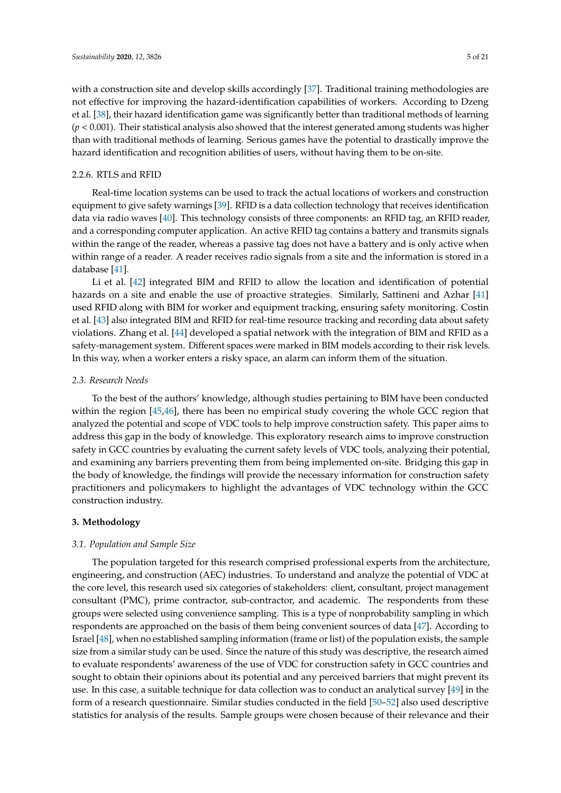with a construction site and develop skills accordingly [\[37\]](#page-18-19). Traditional training methodologies are not effective for improving the hazard-identification capabilities of workers. According to Dzeng et al. [\[38\]](#page-18-20), their hazard identification game was significantly better than traditional methods of learning (*p* < 0.001). Their statistical analysis also showed that the interest generated among students was higher than with traditional methods of learning. Serious games have the potential to drastically improve the hazard identification and recognition abilities of users, without having them to be on-site.

### 2.2.6. RTLS and RFID

Real-time location systems can be used to track the actual locations of workers and construction equipment to give safety warnings [\[39\]](#page-19-0). RFID is a data collection technology that receives identification data via radio waves [\[40\]](#page-19-1). This technology consists of three components: an RFID tag, an RFID reader, and a corresponding computer application. An active RFID tag contains a battery and transmits signals within the range of the reader, whereas a passive tag does not have a battery and is only active when within range of a reader. A reader receives radio signals from a site and the information is stored in a database [\[41\]](#page-19-2).

Li et al. [\[42\]](#page-19-3) integrated BIM and RFID to allow the location and identification of potential hazards on a site and enable the use of proactive strategies. Similarly, Sattineni and Azhar [\[41\]](#page-19-2) used RFID along with BIM for worker and equipment tracking, ensuring safety monitoring. Costin et al. [\[43\]](#page-19-4) also integrated BIM and RFID for real-time resource tracking and recording data about safety violations. Zhang et al. [\[44\]](#page-19-5) developed a spatial network with the integration of BIM and RFID as a safety-management system. Different spaces were marked in BIM models according to their risk levels. In this way, when a worker enters a risky space, an alarm can inform them of the situation.

## *2.3. Research Needs*

To the best of the authors' knowledge, although studies pertaining to BIM have been conducted within the region [\[45](#page-19-6)[,46\]](#page-19-7), there has been no empirical study covering the whole GCC region that analyzed the potential and scope of VDC tools to help improve construction safety. This paper aims to address this gap in the body of knowledge. This exploratory research aims to improve construction safety in GCC countries by evaluating the current safety levels of VDC tools, analyzing their potential, and examining any barriers preventing them from being implemented on-site. Bridging this gap in the body of knowledge, the findings will provide the necessary information for construction safety practitioners and policymakers to highlight the advantages of VDC technology within the GCC construction industry.

#### **3. Methodology**

### *3.1. Population and Sample Size*

The population targeted for this research comprised professional experts from the architecture, engineering, and construction (AEC) industries. To understand and analyze the potential of VDC at the core level, this research used six categories of stakeholders: client, consultant, project management consultant (PMC), prime contractor, sub-contractor, and academic. The respondents from these groups were selected using convenience sampling. This is a type of nonprobability sampling in which respondents are approached on the basis of them being convenient sources of data [\[47\]](#page-19-8). According to Israel [\[48\]](#page-19-9), when no established sampling information (frame or list) of the population exists, the sample size from a similar study can be used. Since the nature of this study was descriptive, the research aimed to evaluate respondents' awareness of the use of VDC for construction safety in GCC countries and sought to obtain their opinions about its potential and any perceived barriers that might prevent its use. In this case, a suitable technique for data collection was to conduct an analytical survey [\[49\]](#page-19-10) in the form of a research questionnaire. Similar studies conducted in the field [\[50](#page-19-11)[–52\]](#page-19-12) also used descriptive statistics for analysis of the results. Sample groups were chosen because of their relevance and their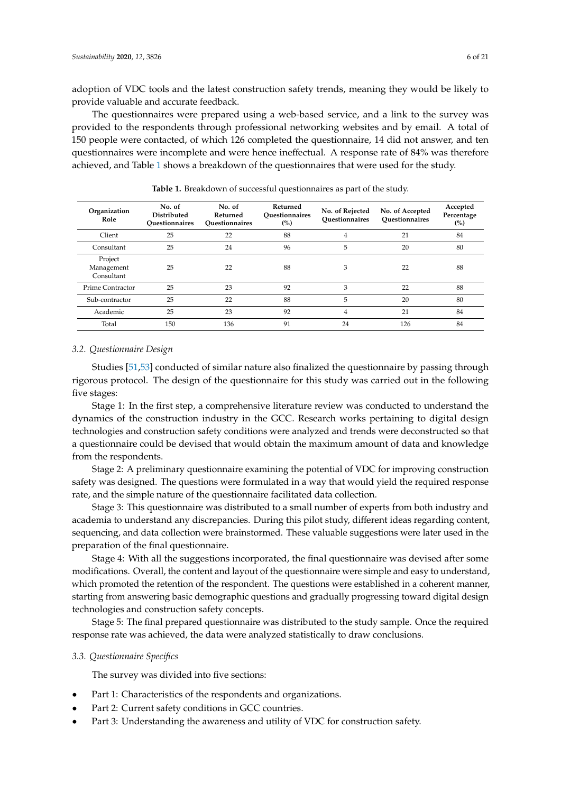adoption of VDC tools and the latest construction safety trends, meaning they would be likely to provide valuable and accurate feedback.

The questionnaires were prepared using a web-based service, and a link to the survey was provided to the respondents through professional networking websites and by email. A total of 150 people were contacted, of which 126 completed the questionnaire, 14 did not answer, and ten questionnaires were incomplete and were hence ineffectual. A response rate of 84% was therefore achieved, and Table [1](#page-5-0) shows a breakdown of the questionnaires that were used for the study.

<span id="page-5-0"></span>

| Organization<br>Role                | No. of<br><b>Distributed</b><br><b>Ouestionnaires</b> | No. of<br>Returned<br>Ouestionnaires | Returned<br><b>Ouestionnaires</b><br>(%) | No. of Rejected<br>Ouestionnaires | No. of Accepted<br>Ouestionnaires | Accepted<br>Percentage<br>(%) |
|-------------------------------------|-------------------------------------------------------|--------------------------------------|------------------------------------------|-----------------------------------|-----------------------------------|-------------------------------|
| Client                              | 25                                                    | 22                                   | 88                                       | 4                                 | 21                                | 84                            |
| Consultant                          | 25                                                    | 24                                   | 96                                       | 5                                 | 20                                | 80                            |
| Project<br>Management<br>Consultant | 25                                                    | 22                                   | 88                                       | 3                                 | 22                                | 88                            |
| Prime Contractor                    | 25                                                    | 23                                   | 92                                       | 3                                 | 22                                | 88                            |
| Sub-contractor                      | 25                                                    | 22                                   | 88                                       | 5                                 | 20                                | 80                            |
| Academic                            | 25                                                    | 23                                   | 92                                       | $\overline{4}$                    | 21                                | 84                            |
| Total                               | 150                                                   | 136                                  | 91                                       | 24                                | 126                               | 84                            |

**Table 1.** Breakdown of successful questionnaires as part of the study.

## *3.2. Questionnaire Design*

Studies [\[51,](#page-19-13)[53\]](#page-19-14) conducted of similar nature also finalized the questionnaire by passing through rigorous protocol. The design of the questionnaire for this study was carried out in the following five stages:

Stage 1: In the first step, a comprehensive literature review was conducted to understand the dynamics of the construction industry in the GCC. Research works pertaining to digital design technologies and construction safety conditions were analyzed and trends were deconstructed so that a questionnaire could be devised that would obtain the maximum amount of data and knowledge from the respondents.

Stage 2: A preliminary questionnaire examining the potential of VDC for improving construction safety was designed. The questions were formulated in a way that would yield the required response rate, and the simple nature of the questionnaire facilitated data collection.

Stage 3: This questionnaire was distributed to a small number of experts from both industry and academia to understand any discrepancies. During this pilot study, different ideas regarding content, sequencing, and data collection were brainstormed. These valuable suggestions were later used in the preparation of the final questionnaire.

Stage 4: With all the suggestions incorporated, the final questionnaire was devised after some modifications. Overall, the content and layout of the questionnaire were simple and easy to understand, which promoted the retention of the respondent. The questions were established in a coherent manner, starting from answering basic demographic questions and gradually progressing toward digital design technologies and construction safety concepts.

Stage 5: The final prepared questionnaire was distributed to the study sample. Once the required response rate was achieved, the data were analyzed statistically to draw conclusions.

## *3.3. Questionnaire Specifics*

The survey was divided into five sections:

- Part 1: Characteristics of the respondents and organizations.
- Part 2: Current safety conditions in GCC countries.
- Part 3: Understanding the awareness and utility of VDC for construction safety.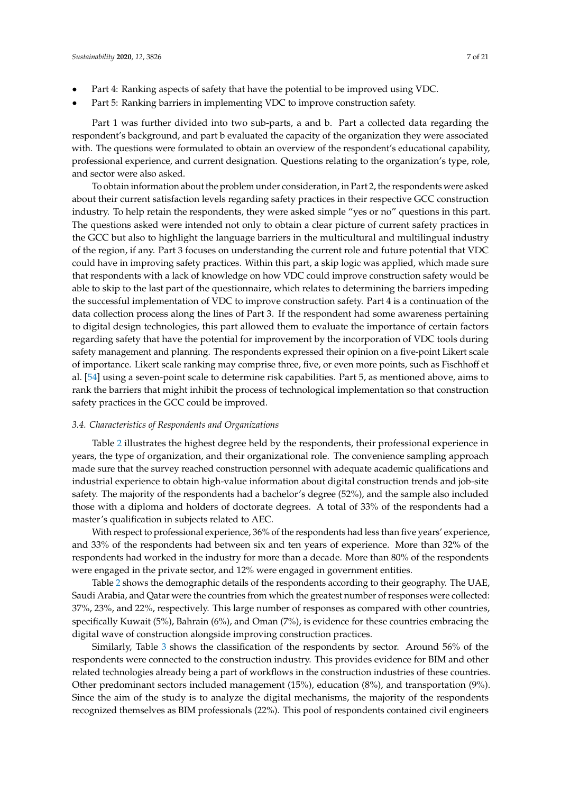- Part 4: Ranking aspects of safety that have the potential to be improved using VDC.
- Part 5: Ranking barriers in implementing VDC to improve construction safety.

Part 1 was further divided into two sub-parts, a and b. Part a collected data regarding the respondent's background, and part b evaluated the capacity of the organization they were associated with. The questions were formulated to obtain an overview of the respondent's educational capability, professional experience, and current designation. Questions relating to the organization's type, role, and sector were also asked.

To obtain information about the problem under consideration, in Part 2, the respondents were asked about their current satisfaction levels regarding safety practices in their respective GCC construction industry. To help retain the respondents, they were asked simple "yes or no" questions in this part. The questions asked were intended not only to obtain a clear picture of current safety practices in the GCC but also to highlight the language barriers in the multicultural and multilingual industry of the region, if any. Part 3 focuses on understanding the current role and future potential that VDC could have in improving safety practices. Within this part, a skip logic was applied, which made sure that respondents with a lack of knowledge on how VDC could improve construction safety would be able to skip to the last part of the questionnaire, which relates to determining the barriers impeding the successful implementation of VDC to improve construction safety. Part 4 is a continuation of the data collection process along the lines of Part 3. If the respondent had some awareness pertaining to digital design technologies, this part allowed them to evaluate the importance of certain factors regarding safety that have the potential for improvement by the incorporation of VDC tools during safety management and planning. The respondents expressed their opinion on a five-point Likert scale of importance. Likert scale ranking may comprise three, five, or even more points, such as Fischhoff et al. [\[54\]](#page-19-15) using a seven-point scale to determine risk capabilities. Part 5, as mentioned above, aims to rank the barriers that might inhibit the process of technological implementation so that construction safety practices in the GCC could be improved.

### *3.4. Characteristics of Respondents and Organizations*

Table [2](#page-7-0) illustrates the highest degree held by the respondents, their professional experience in years, the type of organization, and their organizational role. The convenience sampling approach made sure that the survey reached construction personnel with adequate academic qualifications and industrial experience to obtain high-value information about digital construction trends and job-site safety. The majority of the respondents had a bachelor's degree (52%), and the sample also included those with a diploma and holders of doctorate degrees. A total of 33% of the respondents had a master's qualification in subjects related to AEC.

With respect to professional experience, 36% of the respondents had less than five years' experience, and 33% of the respondents had between six and ten years of experience. More than 32% of the respondents had worked in the industry for more than a decade. More than 80% of the respondents were engaged in the private sector, and 12% were engaged in government entities.

Table [2](#page-7-0) shows the demographic details of the respondents according to their geography. The UAE, Saudi Arabia, and Qatar were the countries from which the greatest number of responses were collected: 37%, 23%, and 22%, respectively. This large number of responses as compared with other countries, specifically Kuwait (5%), Bahrain (6%), and Oman (7%), is evidence for these countries embracing the digital wave of construction alongside improving construction practices.

Similarly, Table [3](#page-7-1) shows the classification of the respondents by sector. Around 56% of the respondents were connected to the construction industry. This provides evidence for BIM and other related technologies already being a part of workflows in the construction industries of these countries. Other predominant sectors included management (15%), education (8%), and transportation (9%). Since the aim of the study is to analyze the digital mechanisms, the majority of the respondents recognized themselves as BIM professionals (22%). This pool of respondents contained civil engineers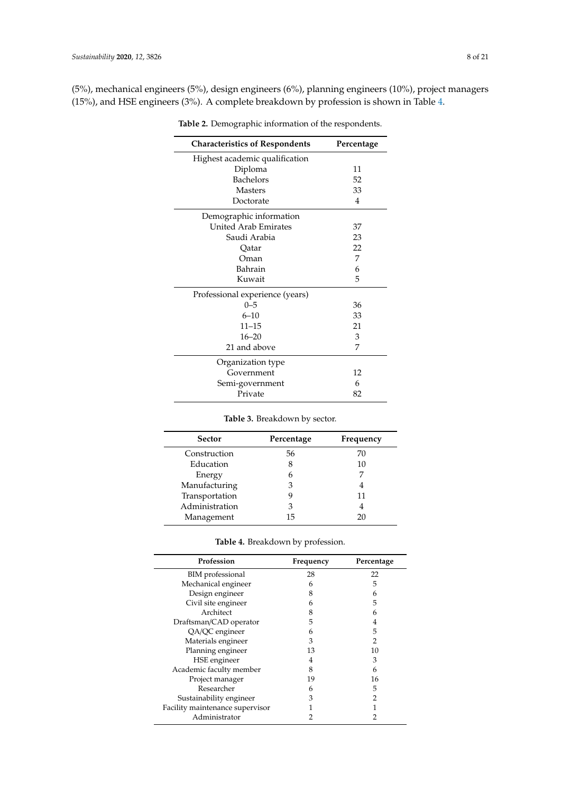<span id="page-7-0"></span>(5%), mechanical engineers (5%), design engineers (6%), planning engineers (10%), project managers (15%), and HSE engineers (3%). A complete breakdown by profession is shown in Table [4.](#page-7-2)

| <b>Characteristics of Respondents</b> | Percentage     |
|---------------------------------------|----------------|
| Highest academic qualification        |                |
| Diploma                               | 11             |
| <b>Bachelors</b>                      | 52             |
| <b>Masters</b>                        | 33             |
| Doctorate                             | $\overline{4}$ |
| Demographic information               |                |
| <b>United Arab Emirates</b>           | 37             |
| Saudi Arabia                          | 23             |
| Oatar                                 | 22             |
| Oman                                  | 7              |
| Bahrain                               | 6              |
| Kuwait                                | 5              |
| Professional experience (years)       |                |
| $0 - 5$                               | 36             |
| $6 - 10$                              | 33             |
| $11 - 15$                             | 21             |
| $16 - 20$                             | 3              |
| 21 and above                          | 7              |
| Organization type                     |                |
| Government                            | 12             |
| Semi-government                       | 6              |
| Private                               | 82             |

**Table 2.** Demographic information of the respondents.

**Table 3.** Breakdown by sector.

<span id="page-7-1"></span>

| Sector         | Percentage | Frequency |
|----------------|------------|-----------|
| Construction   | 56         | 70        |
| Education      | 8          | 10        |
| Energy         | 6          |           |
| Manufacturing  | З          |           |
| Transportation | 9          | 11        |
| Administration | З          |           |
| Management     | 15         | 20        |
|                |            |           |

| Table 4. Breakdown by profession. |  |
|-----------------------------------|--|
|                                   |  |

<span id="page-7-2"></span>

| Profession                      | Frequency | Percentage |
|---------------------------------|-----------|------------|
| BIM professional                | 28        | 22         |
| Mechanical engineer             | 6         | 5          |
| Design engineer                 | 8         | 6          |
| Civil site engineer             | 6         | 5          |
| Architect                       | 8         | 6          |
| Draftsman/CAD operator          | 5         | 4          |
| QA/QC engineer                  | 6         | 5          |
| Materials engineer              | 3         | 2          |
| Planning engineer               | 13        | 10         |
| HSE engineer                    | 4         | 3          |
| Academic faculty member         | 8         | 6          |
| Project manager                 | 19        | 16         |
| Researcher                      | 6         | 5          |
| Sustainability engineer         | 3         |            |
| Facility maintenance supervisor |           |            |
| Administrator                   |           |            |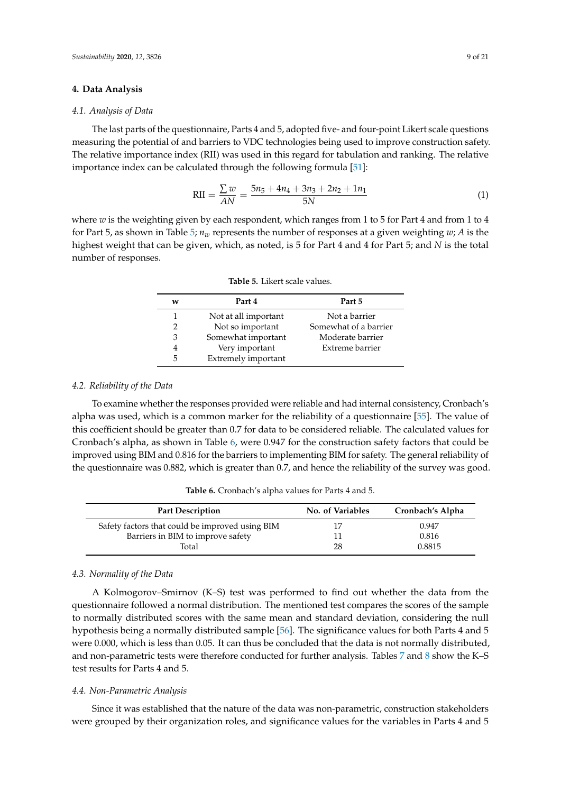## **4. Data Analysis**

### *4.1. Analysis of Data*

The last parts of the questionnaire, Parts 4 and 5, adopted five- and four-point Likert scale questions measuring the potential of and barriers to VDC technologies being used to improve construction safety. The relative importance index (RII) was used in this regard for tabulation and ranking. The relative importance index can be calculated through the following formula [\[51\]](#page-19-13):

$$
RII = \frac{\sum w}{AN} = \frac{5n_5 + 4n_4 + 3n_3 + 2n_2 + 1n_1}{5N}
$$
 (1)

<span id="page-8-0"></span>where *w* is the weighting given by each respondent, which ranges from 1 to 5 for Part 4 and from 1 to 4 for Part 5, as shown in Table [5;](#page-8-0)  $n_w$  represents the number of responses at a given weighting  $w$ ; *A* is the highest weight that can be given, which, as noted, is 5 for Part 4 and 4 for Part 5; and *N* is the total number of responses.

| w | Part 4               | Part 5                |
|---|----------------------|-----------------------|
|   | Not at all important | Not a barrier         |
|   | Not so important     | Somewhat of a barrier |
| 3 | Somewhat important   | Moderate barrier      |
| 4 | Very important       | Extreme barrier       |
| 5 | Extremely important  |                       |

**Table 5.** Likert scale values.

## *4.2. Reliability of the Data*

To examine whether the responses provided were reliable and had internal consistency, Cronbach's alpha was used, which is a common marker for the reliability of a questionnaire [\[55\]](#page-19-16). The value of this coefficient should be greater than 0.7 for data to be considered reliable. The calculated values for Cronbach's alpha, as shown in Table [6,](#page-8-1) were 0.947 for the construction safety factors that could be improved using BIM and 0.816 for the barriers to implementing BIM for safety. The general reliability of the questionnaire was 0.882, which is greater than 0.7, and hence the reliability of the survey was good.

**Table 6.** Cronbach's alpha values for Parts 4 and 5.

<span id="page-8-1"></span>

| <b>Part Description</b>                         | <b>No. of Variables</b> | Cronbach's Alpha |
|-------------------------------------------------|-------------------------|------------------|
| Safety factors that could be improved using BIM |                         | 0.947            |
| Barriers in BIM to improve safety               |                         | 0.816            |
| Total                                           | 28                      | 0.8815           |

#### *4.3. Normality of the Data*

A Kolmogorov–Smirnov (K–S) test was performed to find out whether the data from the questionnaire followed a normal distribution. The mentioned test compares the scores of the sample to normally distributed scores with the same mean and standard deviation, considering the null hypothesis being a normally distributed sample [\[56\]](#page-19-17). The significance values for both Parts 4 and 5 were 0.000, which is less than 0.05. It can thus be concluded that the data is not normally distributed, and non-parametric tests were therefore conducted for further analysis. Tables [7](#page-9-0) and [8](#page-9-1) show the K–S test results for Parts 4 and 5.

#### *4.4. Non-Parametric Analysis*

Since it was established that the nature of the data was non-parametric, construction stakeholders were grouped by their organization roles, and significance values for the variables in Parts 4 and 5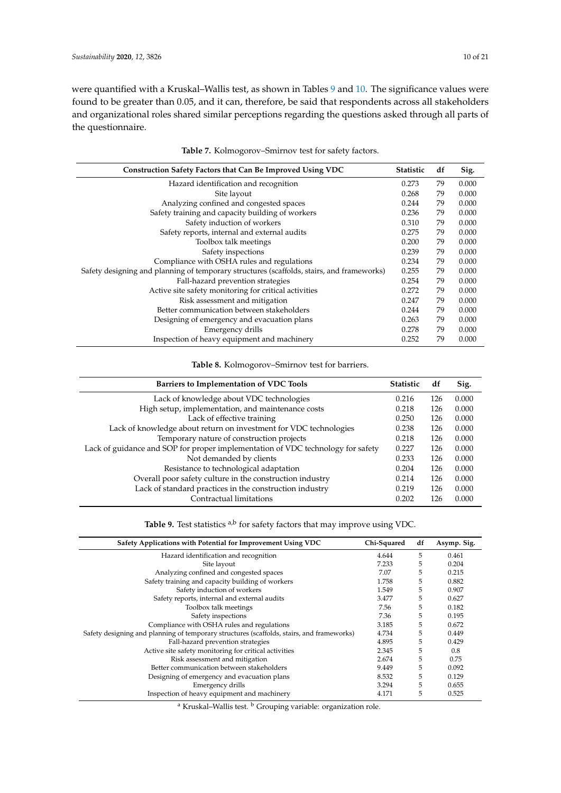were quantified with a Kruskal–Wallis test, as shown in Tables [9](#page-9-2) and [10.](#page-10-0) The significance values were found to be greater than 0.05, and it can, therefore, be said that respondents across all stakeholders and organizational roles shared similar perceptions regarding the questions asked through all parts of the questionnaire.

<span id="page-9-0"></span>

| Construction Safety Factors that Can Be Improved Using VDC                                | <b>Statistic</b> | df | Sig.  |
|-------------------------------------------------------------------------------------------|------------------|----|-------|
| Hazard identification and recognition                                                     | 0.273            | 79 | 0.000 |
| Site layout                                                                               | 0.268            | 79 | 0.000 |
| Analyzing confined and congested spaces                                                   | 0.244            | 79 | 0.000 |
| Safety training and capacity building of workers                                          | 0.236            | 79 | 0.000 |
| Safety induction of workers                                                               | 0.310            | 79 | 0.000 |
| Safety reports, internal and external audits                                              | 0.275            | 79 | 0.000 |
| Toolbox talk meetings                                                                     | 0.200            | 79 | 0.000 |
| Safety inspections                                                                        | 0.239            | 79 | 0.000 |
| Compliance with OSHA rules and regulations                                                | 0.234            | 79 | 0.000 |
| Safety designing and planning of temporary structures (scaffolds, stairs, and frameworks) | 0.255            | 79 | 0.000 |
| Fall-hazard prevention strategies                                                         | 0.254            | 79 | 0.000 |
| Active site safety monitoring for critical activities                                     | 0.272            | 79 | 0.000 |
| Risk assessment and mitigation                                                            | 0.247            | 79 | 0.000 |
| Better communication between stakeholders                                                 | 0.244            | 79 | 0.000 |
| Designing of emergency and evacuation plans                                               | 0.263            | 79 | 0.000 |
| Emergency drills                                                                          | 0.278            | 79 | 0.000 |
| Inspection of heavy equipment and machinery                                               | 0.252            | 79 | 0.000 |

|  | Table 7. Kolmogorov-Smirnov test for safety factors. |  |  |  |
|--|------------------------------------------------------|--|--|--|
|--|------------------------------------------------------|--|--|--|

## **Table 8.** Kolmogorov–Smirnov test for barriers.

<span id="page-9-1"></span>

| Barriers to Implementation of VDC Tools                                         | <b>Statistic</b> | df  | Sig.  |
|---------------------------------------------------------------------------------|------------------|-----|-------|
| Lack of knowledge about VDC technologies                                        | 0.216            | 126 | 0.000 |
| High setup, implementation, and maintenance costs                               | 0.218            | 126 | 0.000 |
| Lack of effective training                                                      | 0.250            | 126 | 0.000 |
| Lack of knowledge about return on investment for VDC technologies               | 0.238            | 126 | 0.000 |
| Temporary nature of construction projects                                       | 0.218            | 126 | 0.000 |
| Lack of guidance and SOP for proper implementation of VDC technology for safety | 0.227            | 126 | 0.000 |
| Not demanded by clients                                                         | 0.233            | 126 | 0.000 |
| Resistance to technological adaptation                                          | 0.204            | 126 | 0.000 |
| Overall poor safety culture in the construction industry                        | 0.214            | 126 | 0.000 |
| Lack of standard practices in the construction industry                         | 0.219            | 126 | 0.000 |
| Contractual limitations                                                         | 0.202            | 126 | 0.000 |
|                                                                                 |                  |     |       |

Table 9. Test statistics <sup>a,b</sup> for safety factors that may improve using VDC.

<span id="page-9-2"></span>

| Safety Applications with Potential for Improvement Using VDC                              | Chi-Squared | df | Asymp. Sig. |
|-------------------------------------------------------------------------------------------|-------------|----|-------------|
| Hazard identification and recognition                                                     | 4.644       | 5  | 0.461       |
| Site layout                                                                               | 7.233       | 5  | 0.204       |
| Analyzing confined and congested spaces                                                   | 7.07        | 5  | 0.215       |
| Safety training and capacity building of workers                                          | 1.758       | 5  | 0.882       |
| Safety induction of workers                                                               | 1.549       | 5  | 0.907       |
| Safety reports, internal and external audits                                              | 3.477       | 5  | 0.627       |
| Toolbox talk meetings                                                                     | 7.56        | 5  | 0.182       |
| Safety inspections                                                                        | 7.36        | 5  | 0.195       |
| Compliance with OSHA rules and regulations                                                | 3.185       | 5  | 0.672       |
| Safety designing and planning of temporary structures (scaffolds, stairs, and frameworks) | 4.734       | 5  | 0.449       |
| Fall-hazard prevention strategies                                                         | 4.895       | 5  | 0.429       |
| Active site safety monitoring for critical activities                                     | 2.345       | 5  | 0.8         |
| Risk assessment and mitigation                                                            | 2.674       | 5  | 0.75        |
| Better communication between stakeholders                                                 | 9.449       | 5  | 0.092       |
| Designing of emergency and evacuation plans                                               | 8.532       | 5  | 0.129       |
| Emergency drills                                                                          | 3.294       | 5  | 0.655       |
| Inspection of heavy equipment and machinery                                               | 4.171       | 5  | 0.525       |

<sup>a</sup> Kruskal–Wallis test. <sup>b</sup> Grouping variable: organization role.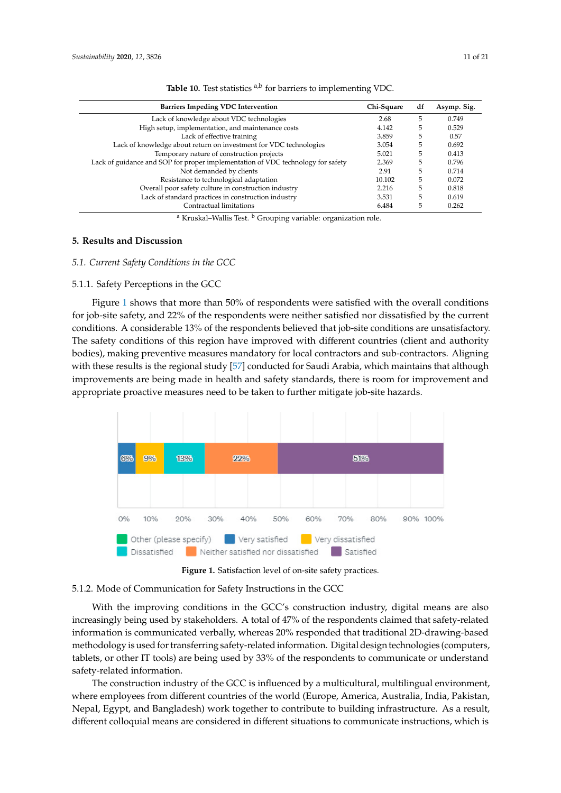<span id="page-10-0"></span>

| <b>Barriers Impeding VDC Intervention</b>                                       | Chi-Square | df | Asymp. Sig. |
|---------------------------------------------------------------------------------|------------|----|-------------|
| Lack of knowledge about VDC technologies                                        | 2.68       | 5  | 0.749       |
| High setup, implementation, and maintenance costs                               | 4.142      | 5  | 0.529       |
| Lack of effective training                                                      | 3.859      | 5  | 0.57        |
| Lack of knowledge about return on investment for VDC technologies               | 3.054      | 5  | 0.692       |
| Temporary nature of construction projects                                       | 5.021      | 5  | 0.413       |
| Lack of guidance and SOP for proper implementation of VDC technology for safety | 2.369      | 5  | 0.796       |
| Not demanded by clients                                                         | 2.91       | 5  | 0.714       |
| Resistance to technological adaptation                                          | 10.102     | 5  | 0.072       |
| Overall poor safety culture in construction industry                            | 2.216      | 5  | 0.818       |
| Lack of standard practices in construction industry                             | 3.531      | 5  | 0.619       |
| Contractual limitations                                                         | 6.484      | 5  | 0.262       |

Table 10. Test statistics <sup>a,b</sup> for barriers to implementing VDC.

<sup>a</sup> Kruskal–Wallis Test. <sup>b</sup> Grouping variable: organization role.

## **5. Results and Discussion**

## *5.1. Current Safety Conditions in the GCC 5.1. Current Safety Conditions in the GCC*

## 5.1.1. Safety Perceptions in the GCC 5.1.1. Safety Perceptions in the GCC

Fi[gur](#page-10-1)e  $1$  shows that more than  $50\%$  of respondents were satisfied with the overall conditions for job-site safety, and 22% of the respondents were neither satisfied nor dissatisfied by the current job-site safety, and 22% of the respondents were neither satisfied nor dissatisfied by the current conditions. A considerable 13% of the respondents believed that job-site conditions are unsatisfactory. conditions. A considerable 13% of the respondents believed that job-site conditions are The safety conditions of this region have improved with different countries (client and authority bodies), making preventive measures mandatory for local contractors and sub-contractors. Aligning with these results is the regional study [\[57\]](#page-19-18) conducted for Saudi Arabia, which maintains that although improvements are being made in health and safety standards, there is room for improvement and appropriate proactive measures need to be taken to further mitigate job-site hazards. ppear f

<span id="page-10-1"></span>

**Figure 1.** Satisfaction level of on-site safety practices.

## 5.1.2. Mode of Communication for Safety Instructions in the GCC

With the improving conditions in the GCC's construction industry, digital means are also information is communicated verbally, whereas 20% responded that traditional 2D-drawing-based increase communication by stating the response of the respondents containing that safety-relations containing t methodology is used for transferring safety-related information. Digital design technologies (computers, tablets, or other IT tools) are being used by 33% of the respondents to communicate or understand safety-related information. increasingly being used by stakeholders. A total of 47% of the respondents claimed that safety-related

The construction industry of the GCC is influenced by a multicultural, multilingual environment, where employees from different countries of the world (Europe, America, Australia, India, Pakistan, Nepal, Egypt, and Bangladesh) work together to contribute to building infrastructure. As a result, different colloquial means are considered in different situations to communicate instructions, which is infrastructure. As a result, different colloquial means are considered in different situations to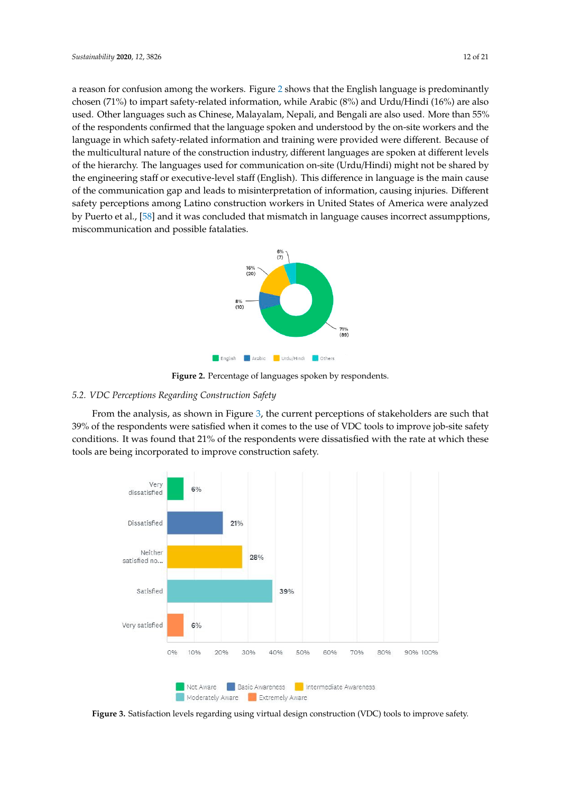a reason for confusion among the workers. Figure [2](#page-11-0) shows that the English language is predominantly chosen (71%) to impart safety-related information, while Arabic (8%) and Urdu/Hindi (16%) are also used. Other languages such as Chinese, Malayalam, Nepali, and Bengali are also used. More than 55% of the respondents confirmed that the language spoken and understood by the on-site workers and the language in which safety-related information and training were provided were different. Because of the multicultural nature of the construction industry, different languages are spoken at different levels of the hierarchy. The languages used for communication on-site (Urdu/Hindi) might not be shared by the engineering staff or executive-level staff (English). This difference in language is the main cause of the communication gap and leads to misinterpretation of information, causing injuries. Different safety perceptions among Latino construction workers in United States of America were analyzed by Puerto et al., [58] and it was concluded that [m](#page-19-19)ismatch in language causes incorrect assumpptions, miscommunication and possible fatalaties. possible fatalaties.

<span id="page-11-0"></span>

**Figure 2.** Percentage of languages spoken by respondents.

## *5.2. VDC Perceptions Regarding Construction Safety*

*5.2. VDC Perceptions Regarding Construction [Sa](#page-11-1)fety*  From the analysis, as shown in Figure 3, the current perceptions of stakeholders are such that From the analysis, as shown in Figure 3, the current perception of state  $\frac{1}{2}$  the current perception of state  $\frac{1}{2}$ conditions. It was found that 21% of the respondents were dissatisfied with the rate at which these tools are being incorporated to improve construction safety. 39% of the respondents were satisfied when it comes to the use of VDC tools to improve job-site safety

<span id="page-11-1"></span>

**Figure 3.** Satisfaction levels regarding using virtual design construction (VDC) tools to improve **Figure 3.** Satisfaction levels regarding using virtual design construction (VDC) tools to improve safety.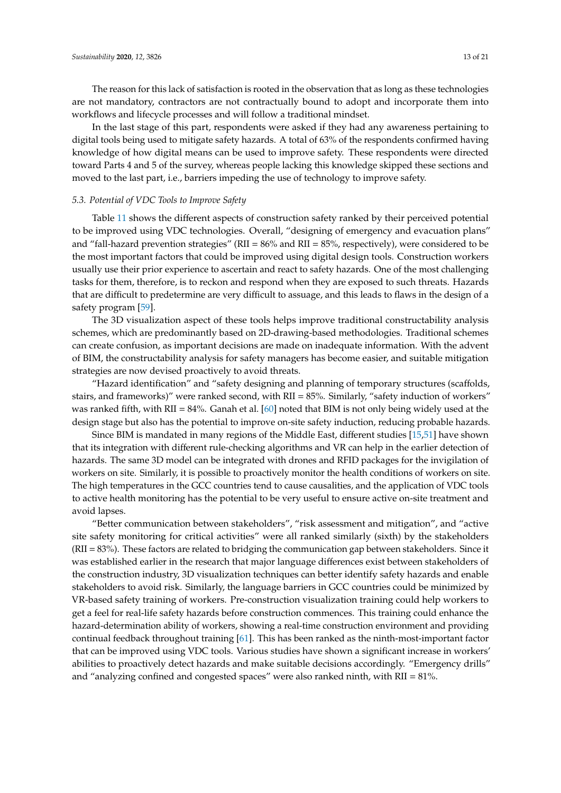The reason for this lack of satisfaction is rooted in the observation that as long as these technologies are not mandatory, contractors are not contractually bound to adopt and incorporate them into workflows and lifecycle processes and will follow a traditional mindset.

In the last stage of this part, respondents were asked if they had any awareness pertaining to digital tools being used to mitigate safety hazards. A total of 63% of the respondents confirmed having knowledge of how digital means can be used to improve safety. These respondents were directed toward Parts 4 and 5 of the survey, whereas people lacking this knowledge skipped these sections and moved to the last part, i.e., barriers impeding the use of technology to improve safety.

## *5.3. Potential of VDC Tools to Improve Safety*

Table [11](#page-13-0) shows the different aspects of construction safety ranked by their perceived potential to be improved using VDC technologies. Overall, "designing of emergency and evacuation plans" and "fall-hazard prevention strategies" ( $RII = 86\%$  and  $RII = 85\%$ , respectively), were considered to be the most important factors that could be improved using digital design tools. Construction workers usually use their prior experience to ascertain and react to safety hazards. One of the most challenging tasks for them, therefore, is to reckon and respond when they are exposed to such threats. Hazards that are difficult to predetermine are very difficult to assuage, and this leads to flaws in the design of a safety program [\[59\]](#page-19-20).

The 3D visualization aspect of these tools helps improve traditional constructability analysis schemes, which are predominantly based on 2D-drawing-based methodologies. Traditional schemes can create confusion, as important decisions are made on inadequate information. With the advent of BIM, the constructability analysis for safety managers has become easier, and suitable mitigation strategies are now devised proactively to avoid threats.

"Hazard identification" and "safety designing and planning of temporary structures (scaffolds, stairs, and frameworks)" were ranked second, with RII = 85%. Similarly, "safety induction of workers" was ranked fifth, with RII = 84%. Ganah et al.  $[60]$  noted that BIM is not only being widely used at the design stage but also has the potential to improve on-site safety induction, reducing probable hazards.

Since BIM is mandated in many regions of the Middle East, different studies [\[15](#page-17-14)[,51\]](#page-19-13) have shown that its integration with different rule-checking algorithms and VR can help in the earlier detection of hazards. The same 3D model can be integrated with drones and RFID packages for the invigilation of workers on site. Similarly, it is possible to proactively monitor the health conditions of workers on site. The high temperatures in the GCC countries tend to cause causalities, and the application of VDC tools to active health monitoring has the potential to be very useful to ensure active on-site treatment and avoid lapses.

"Better communication between stakeholders", "risk assessment and mitigation", and "active site safety monitoring for critical activities" were all ranked similarly (sixth) by the stakeholders (RII = 83%). These factors are related to bridging the communication gap between stakeholders. Since it was established earlier in the research that major language differences exist between stakeholders of the construction industry, 3D visualization techniques can better identify safety hazards and enable stakeholders to avoid risk. Similarly, the language barriers in GCC countries could be minimized by VR-based safety training of workers. Pre-construction visualization training could help workers to get a feel for real-life safety hazards before construction commences. This training could enhance the hazard-determination ability of workers, showing a real-time construction environment and providing continual feedback throughout training [\[61\]](#page-19-22). This has been ranked as the ninth-most-important factor that can be improved using VDC tools. Various studies have shown a significant increase in workers' abilities to proactively detect hazards and make suitable decisions accordingly. "Emergency drills" and "analyzing confined and congested spaces" were also ranked ninth, with RII = 81%.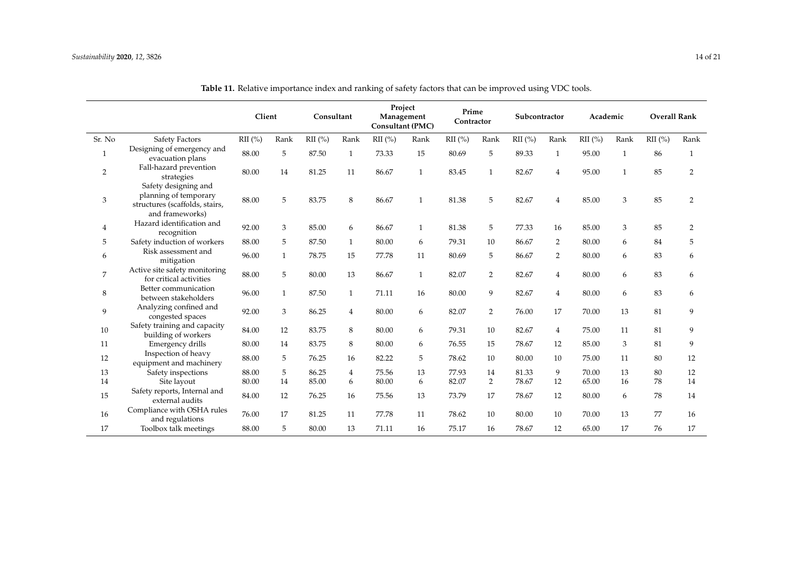<span id="page-13-0"></span>

|              |                                                                                                    | Client    |              | Consultant |              | Project<br>Management<br><b>Consultant (PMC)</b> |              | Prime<br>Contractor |                | Subcontractor |      | Academic  |      | <b>Overall Rank</b> |                |
|--------------|----------------------------------------------------------------------------------------------------|-----------|--------------|------------|--------------|--------------------------------------------------|--------------|---------------------|----------------|---------------|------|-----------|------|---------------------|----------------|
| Sr. No       | Safety Factors                                                                                     | $RII$ (%) | Rank         | $RII$ (%)  | Rank         | RII(%)                                           | Rank         | $RII$ (%)           | Rank           | $RII$ (%)     | Rank | $RII$ (%) | Rank | $RII$ (%)           | Rank           |
| $\mathbf{1}$ | Designing of emergency and<br>evacuation plans                                                     | 88.00     | 5            | 87.50      |              | 73.33                                            | 15           | 80.69               | 5              | 89.33         |      | 95.00     |      | 86                  |                |
| 2            | Fall-hazard prevention<br>strategies                                                               | 80.00     | 14           | 81.25      | 11           | 86.67                                            | $\mathbf{1}$ | 83.45               | 1              | 82.67         | 4    | 95.00     |      | 85                  | 2              |
| 3            | Safety designing and<br>planning of temporary<br>structures (scaffolds, stairs,<br>and frameworks) | 88.00     | 5            | 83.75      | 8            | 86.67                                            | $\mathbf{1}$ | 81.38               | 5              | 82.67         | 4    | 85.00     | 3    | 85                  | $\overline{2}$ |
| 4            | Hazard identification and<br>recognition                                                           | 92.00     | 3            | 85.00      | 6            | 86.67                                            | 1            | 81.38               | 5              | 77.33         | 16   | 85.00     | 3    | 85                  | 2              |
| 5            | Safety induction of workers                                                                        | 88.00     | 5            | 87.50      | $\mathbf{1}$ | 80.00                                            | 6            | 79.31               | 10             | 86.67         | 2    | 80.00     | 6    | 84                  | 5              |
| 6            | Risk assessment and<br>mitigation                                                                  | 96.00     | 1            | 78.75      | 15           | 77.78                                            | 11           | 80.69               | 5              | 86.67         | 2    | 80.00     | 6    | 83                  | 6              |
| 7            | Active site safety monitoring<br>for critical activities                                           | 88.00     | 5            | 80.00      | 13           | 86.67                                            | $\mathbf{1}$ | 82.07               | $\overline{2}$ | 82.67         | 4    | 80.00     | 6    | 83                  | 6              |
| 8            | Better communication<br>between stakeholders                                                       | 96.00     | $\mathbf{1}$ | 87.50      | $\mathbf{1}$ | 71.11                                            | 16           | 80.00               | 9              | 82.67         | 4    | 80.00     | 6    | 83                  | 6              |
| 9            | Analyzing confined and<br>congested spaces                                                         | 92.00     | 3            | 86.25      | 4            | 80.00                                            | 6            | 82.07               | $\overline{2}$ | 76.00         | 17   | 70.00     | 13   | 81                  | 9              |
| 10           | Safety training and capacity<br>building of workers                                                | 84.00     | 12           | 83.75      | 8            | 80.00                                            | 6            | 79.31               | 10             | 82.67         | 4    | 75.00     | 11   | 81                  | 9              |
| 11           | Emergency drills                                                                                   | 80.00     | 14           | 83.75      | 8            | 80.00                                            | 6            | 76.55               | 15             | 78.67         | 12   | 85.00     | 3    | 81                  | 9              |
| 12           | Inspection of heavy<br>equipment and machinery                                                     | 88.00     | 5            | 76.25      | 16           | 82.22                                            | 5            | 78.62               | 10             | 80.00         | 10   | 75.00     | 11   | 80                  | 12             |
| 13           | Safety inspections                                                                                 | 88.00     | 5            | 86.25      | 4            | 75.56                                            | 13           | 77.93               | 14             | 81.33         | 9    | 70.00     | 13   | 80                  | 12             |
| 14           | Site layout                                                                                        | 80.00     | 14           | 85.00      | 6            | 80.00                                            | 6            | 82.07               | $\overline{2}$ | 78.67         | 12   | 65.00     | 16   | 78                  | 14             |
| 15           | Safety reports, Internal and<br>external audits                                                    | 84.00     | 12           | 76.25      | 16           | 75.56                                            | 13           | 73.79               | 17             | 78.67         | 12   | 80.00     | 6    | 78                  | 14             |
| 16           | Compliance with OSHA rules<br>and regulations                                                      | 76.00     | 17           | 81.25      | 11           | 77.78                                            | 11           | 78.62               | 10             | 80.00         | 10   | 70.00     | 13   | 77                  | 16             |
| 17           | Toolbox talk meetings                                                                              | 88.00     | 5            | 80.00      | 13           | 71.11                                            | 16           | 75.17               | 16             | 78.67         | 12   | 65.00     | 17   | 76                  | 17             |

**Table 11.** Relative importance index and ranking of safety factors that can be improved using VDC tools.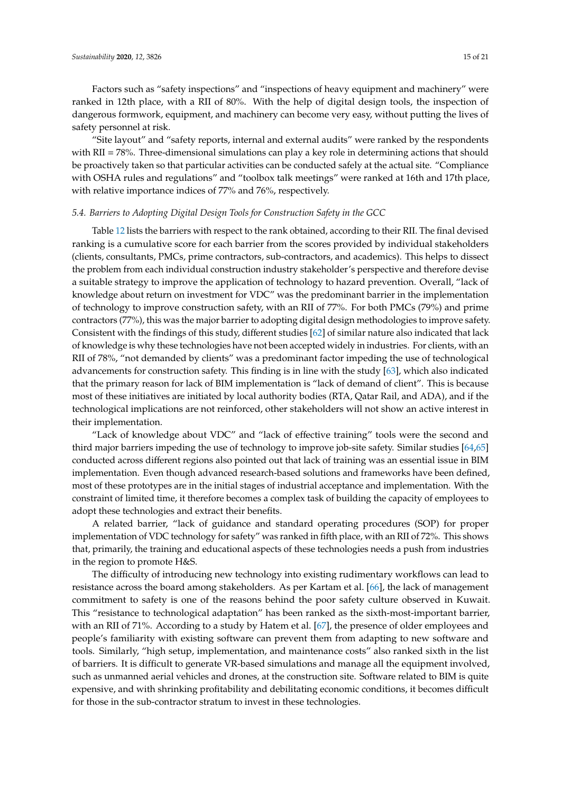Factors such as "safety inspections" and "inspections of heavy equipment and machinery" were ranked in 12th place, with a RII of 80%. With the help of digital design tools, the inspection of dangerous formwork, equipment, and machinery can become very easy, without putting the lives of safety personnel at risk.

"Site layout" and "safety reports, internal and external audits" were ranked by the respondents with RII = 78%. Three-dimensional simulations can play a key role in determining actions that should be proactively taken so that particular activities can be conducted safely at the actual site. "Compliance with OSHA rules and regulations" and "toolbox talk meetings" were ranked at 16th and 17th place, with relative importance indices of 77% and 76%, respectively.

## *5.4. Barriers to Adopting Digital Design Tools for Construction Safety in the GCC*

Table [12](#page-15-0) lists the barriers with respect to the rank obtained, according to their RII. The final devised ranking is a cumulative score for each barrier from the scores provided by individual stakeholders (clients, consultants, PMCs, prime contractors, sub-contractors, and academics). This helps to dissect the problem from each individual construction industry stakeholder's perspective and therefore devise a suitable strategy to improve the application of technology to hazard prevention. Overall, "lack of knowledge about return on investment for VDC" was the predominant barrier in the implementation of technology to improve construction safety, with an RII of 77%. For both PMCs (79%) and prime contractors (77%), this was the major barrier to adopting digital design methodologies to improve safety. Consistent with the findings of this study, different studies [\[62\]](#page-19-23) of similar nature also indicated that lack of knowledge is why these technologies have not been accepted widely in industries. For clients, with an RII of 78%, "not demanded by clients" was a predominant factor impeding the use of technological advancements for construction safety. This finding is in line with the study [\[63\]](#page-20-0), which also indicated that the primary reason for lack of BIM implementation is "lack of demand of client". This is because most of these initiatives are initiated by local authority bodies (RTA, Qatar Rail, and ADA), and if the technological implications are not reinforced, other stakeholders will not show an active interest in their implementation.

"Lack of knowledge about VDC" and "lack of effective training" tools were the second and third major barriers impeding the use of technology to improve job-site safety. Similar studies [\[64](#page-20-1)[,65\]](#page-20-2) conducted across different regions also pointed out that lack of training was an essential issue in BIM implementation. Even though advanced research-based solutions and frameworks have been defined, most of these prototypes are in the initial stages of industrial acceptance and implementation. With the constraint of limited time, it therefore becomes a complex task of building the capacity of employees to adopt these technologies and extract their benefits.

A related barrier, "lack of guidance and standard operating procedures (SOP) for proper implementation of VDC technology for safety" was ranked in fifth place, with an RII of 72%. This shows that, primarily, the training and educational aspects of these technologies needs a push from industries in the region to promote H&S.

The difficulty of introducing new technology into existing rudimentary workflows can lead to resistance across the board among stakeholders. As per Kartam et al. [\[66\]](#page-20-3), the lack of management commitment to safety is one of the reasons behind the poor safety culture observed in Kuwait. This "resistance to technological adaptation" has been ranked as the sixth-most-important barrier, with an RII of 71%. According to a study by Hatem et al. [\[67\]](#page-20-4), the presence of older employees and people's familiarity with existing software can prevent them from adapting to new software and tools. Similarly, "high setup, implementation, and maintenance costs" also ranked sixth in the list of barriers. It is difficult to generate VR-based simulations and manage all the equipment involved, such as unmanned aerial vehicles and drones, at the construction site. Software related to BIM is quite expensive, and with shrinking profitability and debilitating economic conditions, it becomes difficult for those in the sub-contractor stratum to invest in these technologies.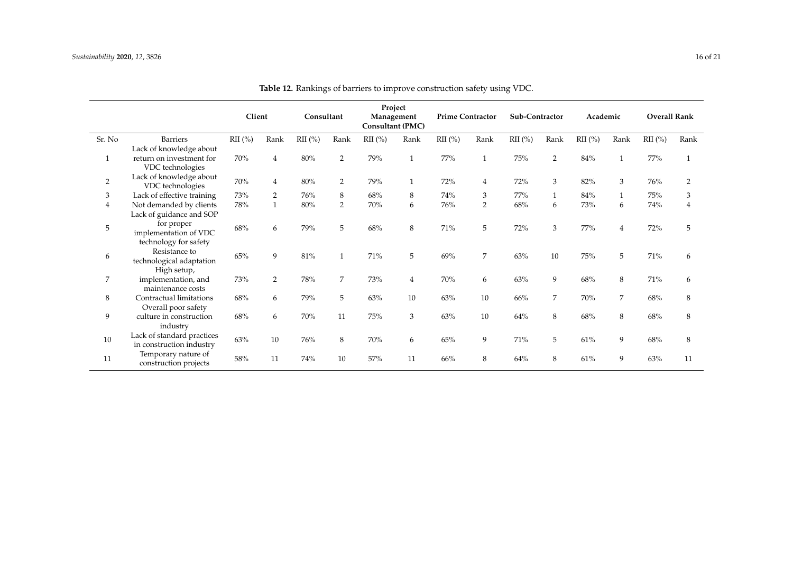<span id="page-15-0"></span>

|                |                                                        | Client    |              | Consultant |                | Project<br>Management<br><b>Consultant (PMC)</b> |              | <b>Prime Contractor</b> |                | Sub-Contractor |      | Academic  |      | <b>Overall Rank</b> |      |
|----------------|--------------------------------------------------------|-----------|--------------|------------|----------------|--------------------------------------------------|--------------|-------------------------|----------------|----------------|------|-----------|------|---------------------|------|
| Sr. No         | <b>Barriers</b>                                        | $RII(\%)$ | Rank         | $RII$ (%)  | Rank           | $RII$ (%)                                        | Rank         | $\mathrm{RII}$ (%)      | Rank           | $RII$ (%)      | Rank | $RII$ (%) | Rank | $RII$ (%)           | Rank |
|                | Lack of knowledge about                                |           |              |            |                |                                                  |              |                         |                |                |      |           |      |                     |      |
| $\mathbf{1}$   | return on investment for                               | 70%       | 4            | $80\%$     | $\overline{2}$ | 79%                                              |              | 77%                     | $\mathbf{1}$   | 75%            | 2    | 84%       |      | 77%                 |      |
|                | VDC technologies                                       |           |              |            |                |                                                  |              |                         |                |                |      |           |      |                     |      |
| $\overline{2}$ | Lack of knowledge about<br>VDC technologies            | 70%       | 4            | 80%        | $\overline{2}$ | 79%                                              | $\mathbf{1}$ | 72%                     | 4              | 72%            | 3    | 82%       | 3    | 76%                 | 2    |
| 3              | Lack of effective training                             | 73%       | 2            | 76%        | 8              | 68%                                              | 8            | 74%                     | 3              | 77%            |      | 84%       |      | 75%                 | 3    |
| 4              | Not demanded by clients                                | 78%       | $\mathbf{1}$ | 80%        | $\overline{2}$ | 70%                                              | 6            | 76%                     | $\overline{2}$ | 68%            | 6    | 73%       | 6    | 74%                 | 4    |
|                | Lack of guidance and SOP                               |           |              |            |                |                                                  |              |                         |                |                |      |           |      |                     |      |
| $\mathbf 5$    | for proper<br>implementation of VDC                    | 68%       | 6            | 79%        | 5              | 68%                                              | 8            | 71%                     | 5              | 72%            | 3    | 77%       |      | 72%                 | 5    |
|                | technology for safety                                  |           |              |            |                |                                                  |              |                         |                |                |      |           |      |                     |      |
| 6              | Resistance to<br>technological adaptation              | 65%       | 9            | 81%        |                | 71%                                              | 5            | 69%                     | 7              | $63\%$         | 10   | 75%       | 5    | $71\%$              | 6    |
|                | High setup,                                            |           |              |            |                |                                                  |              |                         |                |                |      |           |      |                     |      |
| $\overline{7}$ | implementation, and<br>maintenance costs               | 73%       | 2            | 78%        | 7              | 73%                                              | 4            | 70%                     | 6              | 63%            | 9    | 68%       | 8    | 71%                 | 6    |
| 8              | Contractual limitations                                | 68%       | 6            | 79%        | 5              | 63%                                              | 10           | 63%                     | 10             | 66%            | 7    | 70%       | 7    | 68%                 | 8    |
|                | Overall poor safety                                    |           |              |            |                |                                                  |              |                         |                |                |      |           |      |                     |      |
| 9              | culture in construction<br>industry                    | 68%       | 6            | 70%        | 11             | 75%                                              | 3            | 63%                     | 10             | 64%            | 8    | 68%       | 8    | 68%                 | 8    |
| 10             | Lack of standard practices<br>in construction industry | 63%       | 10           | 76%        | 8              | 70%                                              | 6            | 65%                     | 9              | 71%            | 5    | 61%       | 9    | 68%                 | 8    |
| 11             | Temporary nature of<br>construction projects           | 58%       | 11           | 74%        | 10             | 57%                                              | 11           | 66%                     | 8              | 64%            | 8    | 61%       | 9    | 63%                 | 11   |

**Table 12.** Rankings of barriers to improve construction safety using VDC.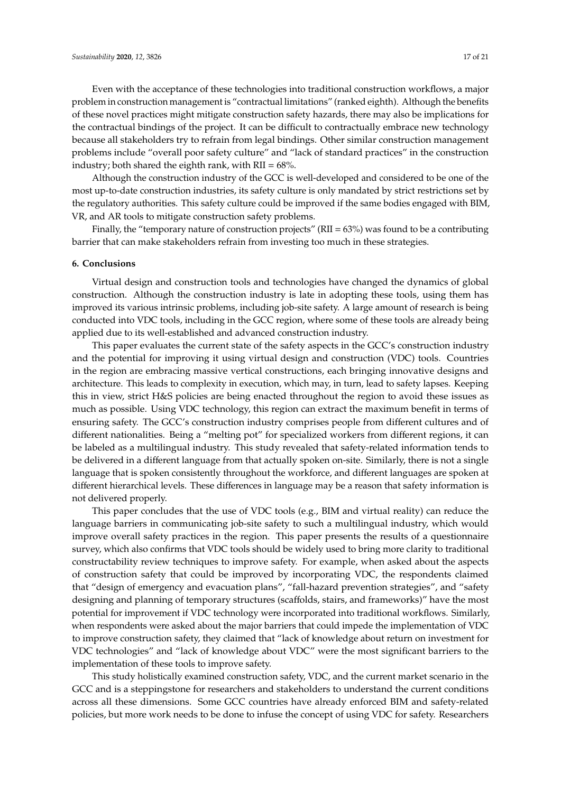Even with the acceptance of these technologies into traditional construction workflows, a major problem in construction management is "contractual limitations" (ranked eighth). Although the benefits of these novel practices might mitigate construction safety hazards, there may also be implications for the contractual bindings of the project. It can be difficult to contractually embrace new technology because all stakeholders try to refrain from legal bindings. Other similar construction management problems include "overall poor safety culture" and "lack of standard practices" in the construction industry; both shared the eighth rank, with  $RII = 68\%$ .

Although the construction industry of the GCC is well-developed and considered to be one of the most up-to-date construction industries, its safety culture is only mandated by strict restrictions set by the regulatory authorities. This safety culture could be improved if the same bodies engaged with BIM, VR, and AR tools to mitigate construction safety problems.

Finally, the "temporary nature of construction projects" (RII =  $63\%$ ) was found to be a contributing barrier that can make stakeholders refrain from investing too much in these strategies.

## **6. Conclusions**

Virtual design and construction tools and technologies have changed the dynamics of global construction. Although the construction industry is late in adopting these tools, using them has improved its various intrinsic problems, including job-site safety. A large amount of research is being conducted into VDC tools, including in the GCC region, where some of these tools are already being applied due to its well-established and advanced construction industry.

This paper evaluates the current state of the safety aspects in the GCC's construction industry and the potential for improving it using virtual design and construction (VDC) tools. Countries in the region are embracing massive vertical constructions, each bringing innovative designs and architecture. This leads to complexity in execution, which may, in turn, lead to safety lapses. Keeping this in view, strict H&S policies are being enacted throughout the region to avoid these issues as much as possible. Using VDC technology, this region can extract the maximum benefit in terms of ensuring safety. The GCC's construction industry comprises people from different cultures and of different nationalities. Being a "melting pot" for specialized workers from different regions, it can be labeled as a multilingual industry. This study revealed that safety-related information tends to be delivered in a different language from that actually spoken on-site. Similarly, there is not a single language that is spoken consistently throughout the workforce, and different languages are spoken at different hierarchical levels. These differences in language may be a reason that safety information is not delivered properly.

This paper concludes that the use of VDC tools (e.g., BIM and virtual reality) can reduce the language barriers in communicating job-site safety to such a multilingual industry, which would improve overall safety practices in the region. This paper presents the results of a questionnaire survey, which also confirms that VDC tools should be widely used to bring more clarity to traditional constructability review techniques to improve safety. For example, when asked about the aspects of construction safety that could be improved by incorporating VDC, the respondents claimed that "design of emergency and evacuation plans", "fall-hazard prevention strategies", and "safety designing and planning of temporary structures (scaffolds, stairs, and frameworks)" have the most potential for improvement if VDC technology were incorporated into traditional workflows. Similarly, when respondents were asked about the major barriers that could impede the implementation of VDC to improve construction safety, they claimed that "lack of knowledge about return on investment for VDC technologies" and "lack of knowledge about VDC" were the most significant barriers to the implementation of these tools to improve safety.

This study holistically examined construction safety, VDC, and the current market scenario in the GCC and is a steppingstone for researchers and stakeholders to understand the current conditions across all these dimensions. Some GCC countries have already enforced BIM and safety-related policies, but more work needs to be done to infuse the concept of using VDC for safety. Researchers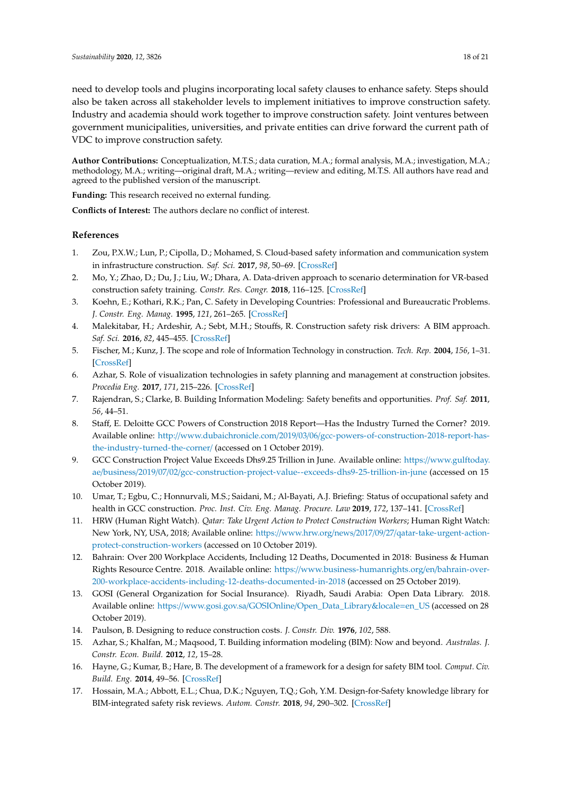need to develop tools and plugins incorporating local safety clauses to enhance safety. Steps should also be taken across all stakeholder levels to implement initiatives to improve construction safety. Industry and academia should work together to improve construction safety. Joint ventures between government municipalities, universities, and private entities can drive forward the current path of VDC to improve construction safety.

**Author Contributions:** Conceptualization, M.T.S.; data curation, M.A.; formal analysis, M.A.; investigation, M.A.; methodology, M.A.; writing—original draft, M.A.; writing—review and editing, M.T.S. All authors have read and agreed to the published version of the manuscript.

**Funding:** This research received no external funding.

**Conflicts of Interest:** The authors declare no conflict of interest.

## **References**

- <span id="page-17-0"></span>1. Zou, P.X.W.; Lun, P.; Cipolla, D.; Mohamed, S. Cloud-based safety information and communication system in infrastructure construction. *Saf. Sci.* **2017**, *98*, 50–69. [\[CrossRef\]](http://dx.doi.org/10.1016/j.ssci.2017.05.006)
- <span id="page-17-1"></span>2. Mo, Y.; Zhao, D.; Du, J.; Liu, W.; Dhara, A. Data-driven approach to scenario determination for VR-based construction safety training. *Constr. Res. Congr.* **2018**, 116–125. [\[CrossRef\]](http://dx.doi.org/10.1061/9780784481288.012)
- <span id="page-17-2"></span>3. Koehn, E.; Kothari, R.K.; Pan, C. Safety in Developing Countries: Professional and Bureaucratic Problems. *J. Constr. Eng. Manag.* **1995**, *121*, 261–265. [\[CrossRef\]](http://dx.doi.org/10.1061/(ASCE)0733-9364(1995)121:3(261))
- <span id="page-17-3"></span>4. Malekitabar, H.; Ardeshir, A.; Sebt, M.H.; Stouffs, R. Construction safety risk drivers: A BIM approach. *Saf. Sci.* **2016**, *82*, 445–455. [\[CrossRef\]](http://dx.doi.org/10.1016/j.ssci.2015.11.002)
- <span id="page-17-4"></span>5. Fischer, M.; Kunz, J. The scope and role of Information Technology in construction. *Tech. Rep.* **2004**, *156*, 1–31. [\[CrossRef\]](http://dx.doi.org/10.2208/jscej.2004.763_1)
- <span id="page-17-5"></span>6. Azhar, S. Role of visualization technologies in safety planning and management at construction jobsites. *Procedia Eng.* **2017**, *171*, 215–226. [\[CrossRef\]](http://dx.doi.org/10.1016/j.proeng.2017.01.329)
- <span id="page-17-6"></span>7. Rajendran, S.; Clarke, B. Building Information Modeling: Safety benefits and opportunities. *Prof. Saf.* **2011**, *56*, 44–51.
- <span id="page-17-7"></span>8. Staff, E. Deloitte GCC Powers of Construction 2018 Report—Has the Industry Turned the Corner? 2019. Available online: http://www.dubaichronicle.com/2019/03/06/[gcc-powers-of-construction-2018-report-has](http://www.dubaichronicle.com/2019/03/06/gcc-powers-of-construction-2018-report-has-the-industry-turned-the-corner/)[the-industry-turned-the-corner](http://www.dubaichronicle.com/2019/03/06/gcc-powers-of-construction-2018-report-has-the-industry-turned-the-corner/)/ (accessed on 1 October 2019).
- <span id="page-17-8"></span>9. GCC Construction Project Value Exceeds Dhs9.25 Trillion in June. Available online: https://[www.gulftoday.](https://www.gulftoday.ae/business/2019/07/02/gcc-construction-project-value--exceeds-dhs9-25-trillion-in-june) ae/business/2019/07/02/[gcc-construction-project-value--exceeds-dhs9-25-trillion-in-june](https://www.gulftoday.ae/business/2019/07/02/gcc-construction-project-value--exceeds-dhs9-25-trillion-in-june) (accessed on 15 October 2019).
- <span id="page-17-9"></span>10. Umar, T.; Egbu, C.; Honnurvali, M.S.; Saidani, M.; Al-Bayati, A.J. Briefing: Status of occupational safety and health in GCC construction. *Proc. Inst. Civ. Eng. Manag. Procure. Law* **2019**, *172*, 137–141. [\[CrossRef\]](http://dx.doi.org/10.1680/jmapl.18.00053)
- <span id="page-17-10"></span>11. HRW (Human Right Watch). *Qatar: Take Urgent Action to Protect Construction Workers*; Human Right Watch: New York, NY, USA, 2018; Available online: https://www.hrw.org/news/2017/09/27/[qatar-take-urgent-action](https://www.hrw.org/news/2017/09/27/qatar-take-urgent-action-protect-construction-workers)[protect-construction-workers](https://www.hrw.org/news/2017/09/27/qatar-take-urgent-action-protect-construction-workers) (accessed on 10 October 2019).
- <span id="page-17-11"></span>12. Bahrain: Over 200 Workplace Accidents, Including 12 Deaths, Documented in 2018: Business & Human Rights Resource Centre. 2018. Available online: https://[www.business-humanrights.org](https://www.business-humanrights.org/en/bahrain-over-200-workplace-accidents-including-12-deaths-documented-in-2018)/en/bahrain-over-[200-workplace-accidents-including-12-deaths-documented-in-2018](https://www.business-humanrights.org/en/bahrain-over-200-workplace-accidents-including-12-deaths-documented-in-2018) (accessed on 25 October 2019).
- <span id="page-17-12"></span>13. GOSI (General Organization for Social Insurance). Riyadh, Saudi Arabia: Open Data Library. 2018. Available online: https://www.gosi.gov.sa/GOSIOnline/[Open\\_Data\\_Library&locale](https://www.gosi.gov.sa/GOSIOnline/Open_Data_Library&locale=en_US)=en\_US (accessed on 28 October 2019).
- <span id="page-17-13"></span>14. Paulson, B. Designing to reduce construction costs. *J. Constr. Div.* **1976**, *102*, 588.
- <span id="page-17-14"></span>15. Azhar, S.; Khalfan, M.; Maqsood, T. Building information modeling (BIM): Now and beyond. *Australas. J. Constr. Econ. Build.* **2012**, *12*, 15–28.
- <span id="page-17-15"></span>16. Hayne, G.; Kumar, B.; Hare, B. The development of a framework for a design for safety BIM tool. *Comput. Civ. Build. Eng.* **2014**, 49–56. [\[CrossRef\]](http://dx.doi.org/10.1061/9780784413616.007)
- <span id="page-17-16"></span>17. Hossain, M.A.; Abbott, E.L.; Chua, D.K.; Nguyen, T.Q.; Goh, Y.M. Design-for-Safety knowledge library for BIM-integrated safety risk reviews. *Autom. Constr.* **2018**, *94*, 290–302. [\[CrossRef\]](http://dx.doi.org/10.1016/j.autcon.2018.07.010)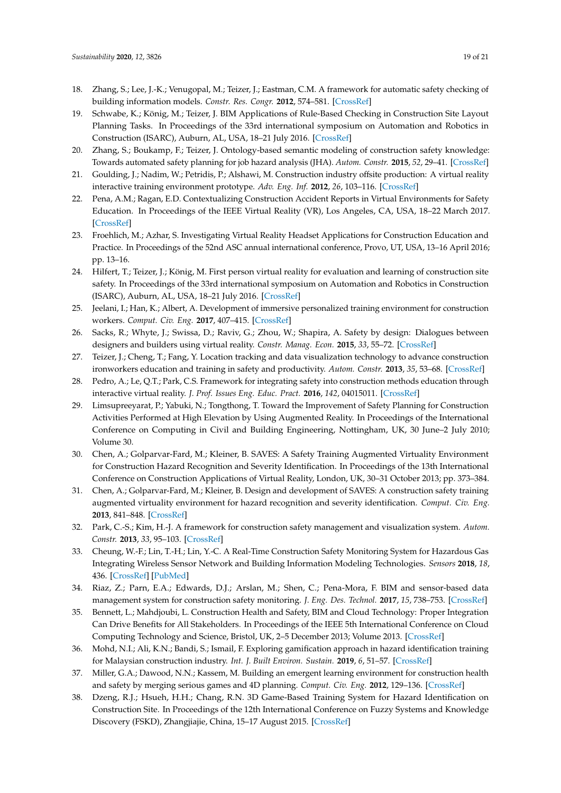- <span id="page-18-0"></span>18. Zhang, S.; Lee, J.-K.; Venugopal, M.; Teizer, J.; Eastman, C.M. A framework for automatic safety checking of building information models. *Constr. Res. Congr.* **2012**, 574–581. [\[CrossRef\]](http://dx.doi.org/10.1061/9780784412329.058)
- <span id="page-18-1"></span>19. Schwabe, K.; König, M.; Teizer, J. BIM Applications of Rule-Based Checking in Construction Site Layout Planning Tasks. In Proceedings of the 33rd international symposium on Automation and Robotics in Construction (ISARC), Auburn, AL, USA, 18–21 July 2016. [\[CrossRef\]](http://dx.doi.org/10.22260/isarc2016/0026)
- <span id="page-18-2"></span>20. Zhang, S.; Boukamp, F.; Teizer, J. Ontology-based semantic modeling of construction safety knowledge: Towards automated safety planning for job hazard analysis (JHA). *Autom. Constr.* **2015**, *52*, 29–41. [\[CrossRef\]](http://dx.doi.org/10.1016/j.autcon.2015.02.005)
- <span id="page-18-3"></span>21. Goulding, J.; Nadim, W.; Petridis, P.; Alshawi, M. Construction industry offsite production: A virtual reality interactive training environment prototype. *Adv. Eng. Inf.* **2012**, *26*, 103–116. [\[CrossRef\]](http://dx.doi.org/10.1016/j.aei.2011.09.004)
- <span id="page-18-4"></span>22. Pena, A.M.; Ragan, E.D. Contextualizing Construction Accident Reports in Virtual Environments for Safety Education. In Proceedings of the IEEE Virtual Reality (VR), Los Angeles, CA, USA, 18–22 March 2017. [\[CrossRef\]](http://dx.doi.org/10.1109/vr.2017.7892340)
- <span id="page-18-5"></span>23. Froehlich, M.; Azhar, S. Investigating Virtual Reality Headset Applications for Construction Education and Practice. In Proceedings of the 52nd ASC annual international conference, Provo, UT, USA, 13–16 April 2016; pp. 13–16.
- <span id="page-18-6"></span>24. Hilfert, T.; Teizer, J.; König, M. First person virtual reality for evaluation and learning of construction site safety. In Proceedings of the 33rd international symposium on Automation and Robotics in Construction (ISARC), Auburn, AL, USA, 18–21 July 2016. [\[CrossRef\]](http://dx.doi.org/10.22260/isarc2016/0025)
- <span id="page-18-7"></span>25. Jeelani, I.; Han, K.; Albert, A. Development of immersive personalized training environment for construction workers. *Comput. Civ. Eng.* **2017**, 407–415. [\[CrossRef\]](http://dx.doi.org/10.1061/9780784480830.050)
- <span id="page-18-8"></span>26. Sacks, R.; Whyte, J.; Swissa, D.; Raviv, G.; Zhou, W.; Shapira, A. Safety by design: Dialogues between designers and builders using virtual reality. *Constr. Manag. Econ.* **2015**, *33*, 55–72. [\[CrossRef\]](http://dx.doi.org/10.1080/01446193.2015.1029504)
- <span id="page-18-9"></span>27. Teizer, J.; Cheng, T.; Fang, Y. Location tracking and data visualization technology to advance construction ironworkers education and training in safety and productivity. *Autom. Constr.* **2013**, *35*, 53–68. [\[CrossRef\]](http://dx.doi.org/10.1016/j.autcon.2013.03.004)
- <span id="page-18-10"></span>28. Pedro, A.; Le, Q.T.; Park, C.S. Framework for integrating safety into construction methods education through interactive virtual reality. *J. Prof. Issues Eng. Educ. Pract.* **2016**, *142*, 04015011. [\[CrossRef\]](http://dx.doi.org/10.1061/(ASCE)EI.1943-5541.0000261)
- <span id="page-18-11"></span>29. Limsupreeyarat, P.; Yabuki, N.; Tongthong, T. Toward the Improvement of Safety Planning for Construction Activities Performed at High Elevation by Using Augmented Reality. In Proceedings of the International Conference on Computing in Civil and Building Engineering, Nottingham, UK, 30 June–2 July 2010; Volume 30.
- <span id="page-18-12"></span>30. Chen, A.; Golparvar-Fard, M.; Kleiner, B. SAVES: A Safety Training Augmented Virtuality Environment for Construction Hazard Recognition and Severity Identification. In Proceedings of the 13th International Conference on Construction Applications of Virtual Reality, London, UK, 30–31 October 2013; pp. 373–384.
- <span id="page-18-13"></span>31. Chen, A.; Golparvar-Fard, M.; Kleiner, B. Design and development of SAVES: A construction safety training augmented virtuality environment for hazard recognition and severity identification. *Comput. Civ. Eng.* **2013**, 841–848. [\[CrossRef\]](http://dx.doi.org/10.1061/9780784413029.105)
- <span id="page-18-14"></span>32. Park, C.-S.; Kim, H.-J. A framework for construction safety management and visualization system. *Autom. Constr.* **2013**, *33*, 95–103. [\[CrossRef\]](http://dx.doi.org/10.1016/j.autcon.2012.09.012)
- <span id="page-18-15"></span>33. Cheung, W.-F.; Lin, T.-H.; Lin, Y.-C. A Real-Time Construction Safety Monitoring System for Hazardous Gas Integrating Wireless Sensor Network and Building Information Modeling Technologies. *Sensors* **2018**, *18*, 436. [\[CrossRef\]](http://dx.doi.org/10.3390/s18020436) [\[PubMed\]](http://www.ncbi.nlm.nih.gov/pubmed/29393887)
- <span id="page-18-16"></span>34. Riaz, Z.; Parn, E.A.; Edwards, D.J.; Arslan, M.; Shen, C.; Pena-Mora, F. BIM and sensor-based data management system for construction safety monitoring. *J. Eng. Des. Technol.* **2017**, *15*, 738–753. [\[CrossRef\]](http://dx.doi.org/10.1108/JEDT-03-2017-0017)
- <span id="page-18-17"></span>35. Bennett, L.; Mahdjoubi, L. Construction Health and Safety, BIM and Cloud Technology: Proper Integration Can Drive Benefits for All Stakeholders. In Proceedings of the IEEE 5th International Conference on Cloud Computing Technology and Science, Bristol, UK, 2–5 December 2013; Volume 2013. [\[CrossRef\]](http://dx.doi.org/10.1109/cloudcom.2013.128)
- <span id="page-18-18"></span>36. Mohd, N.I.; Ali, K.N.; Bandi, S.; Ismail, F. Exploring gamification approach in hazard identification training for Malaysian construction industry. *Int. J. Built Environ. Sustain.* **2019**, *6*, 51–57. [\[CrossRef\]](http://dx.doi.org/10.11113/ijbes.v6.n1.333)
- <span id="page-18-19"></span>37. Miller, G.A.; Dawood, N.N.; Kassem, M. Building an emergent learning environment for construction health and safety by merging serious games and 4D planning. *Comput. Civ. Eng.* **2012**, 129–136. [\[CrossRef\]](http://dx.doi.org/10.1061/9780784412343.0017)
- <span id="page-18-20"></span>38. Dzeng, R.J.; Hsueh, H.H.; Chang, R.N. 3D Game-Based Training System for Hazard Identification on Construction Site. In Proceedings of the 12th International Conference on Fuzzy Systems and Knowledge Discovery (FSKD), Zhangjiajie, China, 15–17 August 2015. [\[CrossRef\]](http://dx.doi.org/10.1109/fskd.2015.7382339)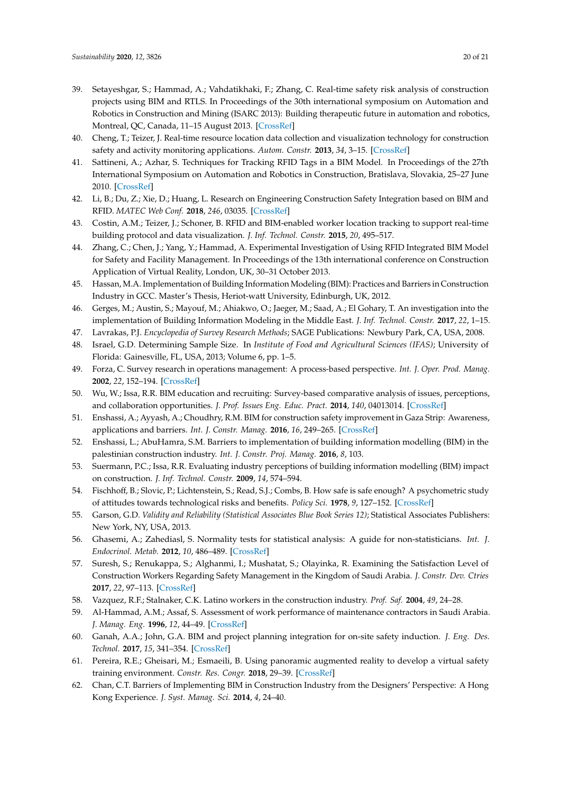- <span id="page-19-0"></span>39. Setayeshgar, S.; Hammad, A.; Vahdatikhaki, F.; Zhang, C. Real-time safety risk analysis of construction projects using BIM and RTLS. In Proceedings of the 30th international symposium on Automation and Robotics in Construction and Mining (ISARC 2013): Building therapeutic future in automation and robotics, Montreal, QC, Canada, 11–15 August 2013. [\[CrossRef\]](http://dx.doi.org/10.22260/isarc2013/0080)
- <span id="page-19-1"></span>40. Cheng, T.; Teizer, J. Real-time resource location data collection and visualization technology for construction safety and activity monitoring applications. *Autom. Constr.* **2013**, *34*, 3–15. [\[CrossRef\]](http://dx.doi.org/10.1016/j.autcon.2012.10.017)
- <span id="page-19-2"></span>41. Sattineni, A.; Azhar, S. Techniques for Tracking RFID Tags in a BIM Model. In Proceedings of the 27th International Symposium on Automation and Robotics in Construction, Bratislava, Slovakia, 25–27 June 2010. [\[CrossRef\]](http://dx.doi.org/10.22260/isarc2010/0037)
- <span id="page-19-3"></span>42. Li, B.; Du, Z.; Xie, D.; Huang, L. Research on Engineering Construction Safety Integration based on BIM and RFID. *MATEC Web Conf.* **2018**, *246*, 03035. [\[CrossRef\]](http://dx.doi.org/10.1051/matecconf/201824603035)
- <span id="page-19-4"></span>43. Costin, A.M.; Teizer, J.; Schoner, B. RFID and BIM-enabled worker location tracking to support real-time building protocol and data visualization. *J. Inf. Technol. Constr.* **2015**, *20*, 495–517.
- <span id="page-19-5"></span>44. Zhang, C.; Chen, J.; Yang, Y.; Hammad, A. Experimental Investigation of Using RFID Integrated BIM Model for Safety and Facility Management. In Proceedings of the 13th international conference on Construction Application of Virtual Reality, London, UK, 30–31 October 2013.
- <span id="page-19-6"></span>45. Hassan, M.A. Implementation of Building Information Modeling (BIM): Practices and Barriers in Construction Industry in GCC. Master's Thesis, Heriot-watt University, Edinburgh, UK, 2012.
- <span id="page-19-7"></span>46. Gerges, M.; Austin, S.; Mayouf, M.; Ahiakwo, O.; Jaeger, M.; Saad, A.; El Gohary, T. An investigation into the implementation of Building Information Modeling in the Middle East. *J. Inf. Technol. Constr.* **2017**, *22*, 1–15.
- <span id="page-19-8"></span>47. Lavrakas, P.J. *Encyclopedia of Survey Research Methods*; SAGE Publications: Newbury Park, CA, USA, 2008.
- <span id="page-19-9"></span>48. Israel, G.D. Determining Sample Size. In *Institute of Food and Agricultural Sciences (IFAS)*; University of Florida: Gainesville, FL, USA, 2013; Volume 6, pp. 1–5.
- <span id="page-19-10"></span>49. Forza, C. Survey research in operations management: A process-based perspective. *Int. J. Oper. Prod. Manag.* **2002**, *22*, 152–194. [\[CrossRef\]](http://dx.doi.org/10.1108/01443570210414310)
- <span id="page-19-11"></span>50. Wu, W.; Issa, R.R. BIM education and recruiting: Survey-based comparative analysis of issues, perceptions, and collaboration opportunities. *J. Prof. Issues Eng. Educ. Pract.* **2014**, *140*, 04013014. [\[CrossRef\]](http://dx.doi.org/10.1061/(ASCE)EI.1943-5541.0000186)
- <span id="page-19-13"></span>51. Enshassi, A.; Ayyash, A.; Choudhry, R.M. BIM for construction safety improvement in Gaza Strip: Awareness, applications and barriers. *Int. J. Constr. Manag.* **2016**, *16*, 249–265. [\[CrossRef\]](http://dx.doi.org/10.1080/15623599.2016.1167367)
- <span id="page-19-12"></span>52. Enshassi, L.; AbuHamra, S.M. Barriers to implementation of building information modelling (BIM) in the palestinian construction industry. *Int. J. Constr. Proj. Manag.* **2016**, *8*, 103.
- <span id="page-19-14"></span>53. Suermann, P.C.; Issa, R.R. Evaluating industry perceptions of building information modelling (BIM) impact on construction. *J. Inf. Technol. Constr.* **2009**, *14*, 574–594.
- <span id="page-19-15"></span>54. Fischhoff, B.; Slovic, P.; Lichtenstein, S.; Read, S.J.; Combs, B. How safe is safe enough? A psychometric study of attitudes towards technological risks and benefits. *Policy Sci.* **1978**, *9*, 127–152. [\[CrossRef\]](http://dx.doi.org/10.1007/BF00143739)
- <span id="page-19-16"></span>55. Garson, G.D. *Validity and Reliability (Statistical Associates Blue Book Series 12)*; Statistical Associates Publishers: New York, NY, USA, 2013.
- <span id="page-19-17"></span>56. Ghasemi, A.; Zahediasl, S. Normality tests for statistical analysis: A guide for non-statisticians. *Int. J. Endocrinol. Metab.* **2012**, *10*, 486–489. [\[CrossRef\]](http://dx.doi.org/10.5812/ijem.3505)
- <span id="page-19-18"></span>57. Suresh, S.; Renukappa, S.; Alghanmi, I.; Mushatat, S.; Olayinka, R. Examining the Satisfaction Level of Construction Workers Regarding Safety Management in the Kingdom of Saudi Arabia. *J. Constr. Dev. Ctries* **2017**, *22*, 97–113. [\[CrossRef\]](http://dx.doi.org/10.21315/jcdc2017.22.1.6)
- <span id="page-19-19"></span>58. Vazquez, R.F.; Stalnaker, C.K. Latino workers in the construction industry. *Prof. Saf.* **2004**, *49*, 24–28.
- <span id="page-19-20"></span>59. Al-Hammad, A.M.; Assaf, S. Assessment of work performance of maintenance contractors in Saudi Arabia. *J. Manag. Eng.* **1996**, *12*, 44–49. [\[CrossRef\]](http://dx.doi.org/10.1061/(ASCE)0742-597X(1996)12:2(44))
- <span id="page-19-21"></span>60. Ganah, A.A.; John, G.A. BIM and project planning integration for on-site safety induction. *J. Eng. Des. Technol.* **2017**, *15*, 341–354. [\[CrossRef\]](http://dx.doi.org/10.1108/JEDT-02-2016-0012)
- <span id="page-19-22"></span>61. Pereira, R.E.; Gheisari, M.; Esmaeili, B. Using panoramic augmented reality to develop a virtual safety training environment. *Constr. Res. Congr.* **2018**, 29–39. [\[CrossRef\]](http://dx.doi.org/10.1061/9780784481288.004)
- <span id="page-19-23"></span>62. Chan, C.T. Barriers of Implementing BIM in Construction Industry from the Designers' Perspective: A Hong Kong Experience. *J. Syst. Manag. Sci.* **2014**, *4*, 24–40.